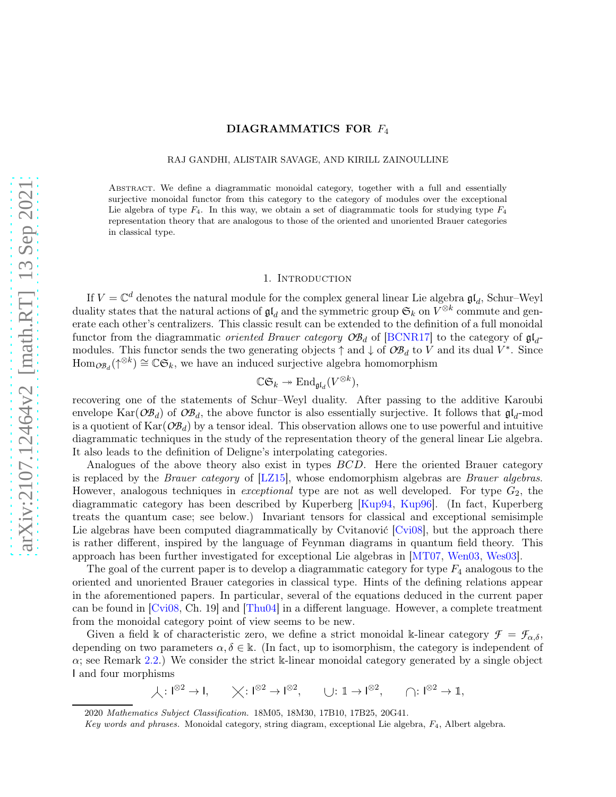## DIAGRAMMATICS FOR F<sup>4</sup>

### RAJ GANDHI, ALISTAIR SAVAGE, AND KIRILL ZAINOULLINE

Abstract. We define a diagrammatic monoidal category, together with a full and essentially surjective monoidal functor from this category to the category of modules over the exceptional Lie algebra of type  $F_4$ . In this way, we obtain a set of diagrammatic tools for studying type  $F_4$ representation theory that are analogous to those of the oriented and unoriented Brauer categories in classical type.

### 1. INTRODUCTION

If  $V = \mathbb{C}^d$  denotes the natural module for the complex general linear Lie algebra  $\mathfrak{gl}_d$ , Schur–Weyl duality states that the natural actions of  $\mathfrak{gl}_d$  and the symmetric group  $\mathfrak{S}_k$  on  $V^{\otimes k}$  commute and generate each other's centralizers. This classic result can be extended to the definition of a full monoidal functor from the diagrammatic *oriented Brauer category*  $O\mathcal{B}_d$  of [\[BCNR17\]](#page-19-0) to the category of  $\mathfrak{gl}_d$ modules. This functor sends the two generating objects  $\uparrow$  and  $\downarrow$  of  $\mathcal{OB}_d$  to  $\check{V}$  and its dual  $V^*$ . Since  $\text{Hom}_{\mathcal{OB}_d}(\uparrow^{\otimes k}) \cong \mathbb{C} \mathfrak{S}_k$ , we have an induced surjective algebra homomorphism

$$
\mathbb{C}\mathfrak{S}_k\twoheadrightarrow \text{End}_{\mathfrak{gl}_d}(V^{\otimes k}),
$$

recovering one of the statements of Schur–Weyl duality. After passing to the additive Karoubi envelope  $\text{Kar}(\mathcal{OB}_d)$  of  $\mathcal{OB}_d$ , the above functor is also essentially surjective. It follows that  $\mathfrak{gl}_d$ -mod is a quotient of  $\text{Kar}(\mathcal{OB}_d)$  by a tensor ideal. This observation allows one to use powerful and intuitive diagrammatic techniques in the study of the representation theory of the general linear Lie algebra. It also leads to the definition of Deligne's interpolating categories.

Analogues of the above theory also exist in types BCD. Here the oriented Brauer category is replaced by the *Brauer category* of [\[LZ15\]](#page-19-1), whose endomorphism algebras are *Brauer algebras*. However, analogous techniques in *exceptional* type are not as well developed. For type  $G_2$ , the diagrammatic category has been described by Kuperberg [\[Kup94,](#page-19-2) [Kup96\]](#page-19-3). (In fact, Kuperberg treats the quantum case; see below.) Invariant tensors for classical and exceptional semisimple Lie algebras have been computed diagrammatically by Cvitanović [\[Cvi08\]](#page-19-4), but the approach there is rather different, inspired by the language of Feynman diagrams in quantum field theory. This approach has been further investigated for exceptional Lie algebras in [\[MT07,](#page-19-5) [Wen03,](#page-19-6) [Wes03\]](#page-19-7).

The goal of the current paper is to develop a diagrammatic category for type  $F_4$  analogous to the oriented and unoriented Brauer categories in classical type. Hints of the defining relations appear in the aforementioned papers. In particular, several of the equations deduced in the current paper can be found in [\[Cvi08,](#page-19-4) Ch. 19] and [\[Thu04\]](#page-19-8) in a different language. However, a complete treatment from the monoidal category point of view seems to be new.

Given a field k of characteristic zero, we define a strict monoidal k-linear category  $\mathcal{F} = \mathcal{F}_{\alpha,\delta}$ , depending on two parameters  $\alpha, \delta \in \mathbb{k}$ . (In fact, up to isomorphism, the category is independent of  $\alpha$ ; see Remark [2.2.](#page-2-0)) We consider the strict k-linear monoidal category generated by a single object I and four morphisms

$$
\downarrow : I^{\otimes 2} \to I, \qquad \times : I^{\otimes 2} \to I^{\otimes 2}, \qquad \cup: \mathbb{1} \to I^{\otimes 2}, \qquad \cap: I^{\otimes 2} \to \mathbb{1},
$$

<sup>2020</sup> Mathematics Subject Classification. 18M05, 18M30, 17B10, 17B25, 20G41.

Key words and phrases. Monoidal category, string diagram, exceptional Lie algebra, F4, Albert algebra.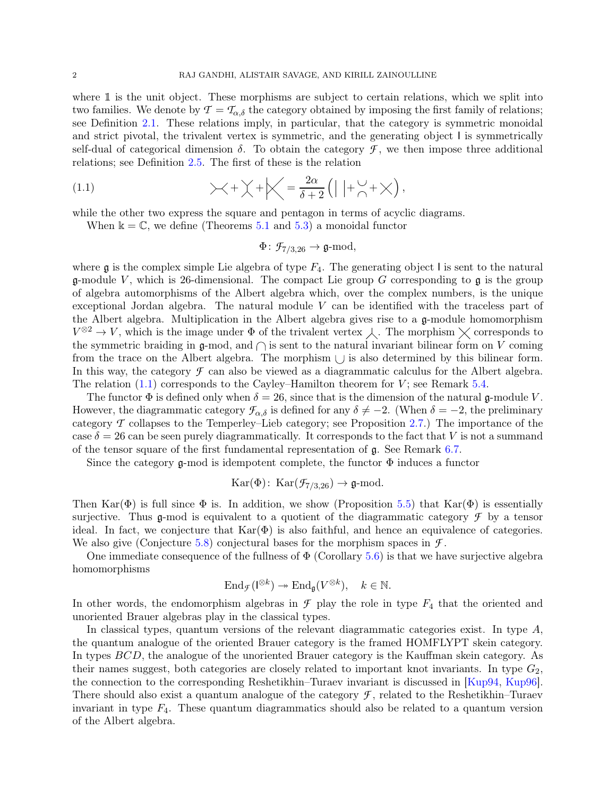where  $\mathbbm{1}$  is the unit object. These morphisms are subject to certain relations, which we split into two families. We denote by  $\mathcal{T} = \mathcal{T}_{\alpha,\delta}$  the category obtained by imposing the first family of relations; see Definition [2.1.](#page-2-1) These relations imply, in particular, that the category is symmetric monoidal and strict pivotal, the trivalent vertex is symmetric, and the generating object I is symmetrically self-dual of categorical dimension  $\delta$ . To obtain the category  $\mathcal{F}$ , we then impose three additional relations; see Definition [2.5.](#page-3-0) The first of these is the relation

(1.1) 
$$
\times + \times + \times = \frac{2\alpha}{\delta + 2} (| | + \rangle + \times),
$$

while the other two express the square and pentagon in terms of acyclic diagrams.

When  $k = \mathbb{C}$ , we define (Theorems [5.1](#page-12-0) and [5.3\)](#page-14-0) a monoidal functor

<span id="page-1-0"></span> $\Phi\colon \mathcal{F}_{7/3,26}\to \mathfrak{g}\text{-mod},$ 

where  $\mathfrak g$  is the complex simple Lie algebra of type  $F_4$ . The generating object I is sent to the natural g-module V, which is 26-dimensional. The compact Lie group G corresponding to  $\mathfrak g$  is the group of algebra automorphisms of the Albert algebra which, over the complex numbers, is the unique exceptional Jordan algebra. The natural module V can be identified with the traceless part of the Albert algebra. Multiplication in the Albert algebra gives rise to a g-module homomorphism  $V^{\otimes 2} \to V$ , which is the image under  $\Phi$  of the trivalent vertex  $\lambda$ . The morphism  $\times$  corresponds to the symmetric braiding in  $\mathfrak{g}\text{-mod}$ , and  $\bigcap$  is sent to the natural invariant bilinear form on V coming from the trace on the Albert algebra. The morphism  $\cup$  is also determined by this bilinear form. In this way, the category  $\mathcal F$  can also be viewed as a diagrammatic calculus for the Albert algebra. The relation  $(1.1)$  corresponds to the Cayley–Hamilton theorem for V; see Remark [5.4.](#page-14-1)

The functor  $\Phi$  is defined only when  $\delta = 26$ , since that is the dimension of the natural g-module V. However, the diagrammatic category  $\mathcal{F}_{\alpha,\delta}$  is defined for any  $\delta \neq -2$ . (When  $\delta = -2$ , the preliminary category *T* collapses to the Temperley–Lieb category; see Proposition [2.7.](#page-4-0)) The importance of the case  $\delta = 26$  can be seen purely diagrammatically. It corresponds to the fact that V is not a summand of the tensor square of the first fundamental representation of  $\mathfrak{g}$ . See Remark [6.7.](#page-18-0)

Since the category  $\mathfrak g$ -mod is idempotent complete, the functor  $\Phi$  induces a functor

$$
\mathrm{Kar}(\Phi)\colon \, \mathrm{Kar}(\mathcal{F}_{7/3,26}) \to \mathfrak{g}\text{-mod}.
$$

Then Kar( $\Phi$ ) is full since  $\Phi$  is. In addition, we show (Proposition [5.5\)](#page-15-0) that Kar( $\Phi$ ) is essentially surjective. Thus  $\mathfrak{g}\text{-mod}$  is equivalent to a quotient of the diagrammatic category  $\mathcal{F}$  by a tensor ideal. In fact, we conjecture that  $\text{Kar}(\Phi)$  is also faithful, and hence an equivalence of categories. We also give (Conjecture [5.8\)](#page-15-1) conjectural bases for the morphism spaces in *F* .

One immediate consequence of the fullness of  $\Phi$  (Corollary [5.6\)](#page-15-2) is that we have surjective algebra homomorphisms

$$
\operatorname{End}_{\mathcal{F}}(\mathsf{I}^{\otimes k}) \twoheadrightarrow \operatorname{End}_{\mathfrak{g}}(V^{\otimes k}), \quad k \in \mathbb{N}.
$$

In other words, the endomorphism algebras in  $\mathcal F$  play the role in type  $F_4$  that the oriented and unoriented Brauer algebras play in the classical types.

In classical types, quantum versions of the relevant diagrammatic categories exist. In type  $A$ , the quantum analogue of the oriented Brauer category is the framed HOMFLYPT skein category. In types BCD, the analogue of the unoriented Brauer category is the Kauffman skein category. As their names suggest, both categories are closely related to important knot invariants. In type  $G_2$ , the connection to the corresponding Reshetikhin–Turaev invariant is discussed in [\[Kup94,](#page-19-2) [Kup96\]](#page-19-3). There should also exist a quantum analogue of the category  $\mathcal F$ , related to the Reshetikhin–Turaev invariant in type  $F_4$ . These quantum diagrammatics should also be related to a quantum version of the Albert algebra.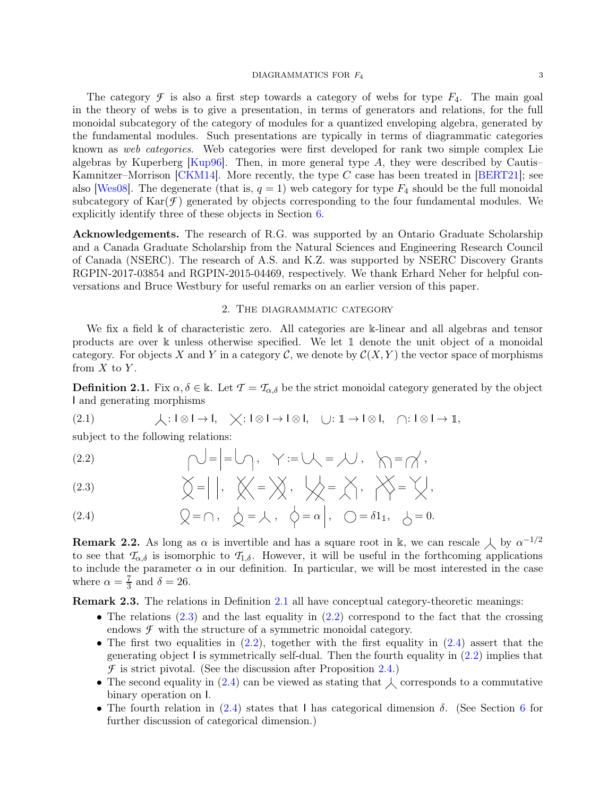#### DIAGRAMMATICS FOR  $F_4$  3

The category  $\mathcal F$  is also a first step towards a category of webs for type  $F_4$ . The main goal in the theory of webs is to give a presentation, in terms of generators and relations, for the full monoidal subcategory of the category of modules for a quantized enveloping algebra, generated by the fundamental modules. Such presentations are typically in terms of diagrammatic categories known as *web categories*. Web categories were first developed for rank two simple complex Lie algebras by Kuperberg  $Kupp 6$ . Then, in more general type A, they were described by Cautis– Kamnitzer–Morrison  $CKM14$ . More recently, the type C case has been treated in  $[BERT21]$ ; see also [\[Wes08\]](#page-19-11). The degenerate (that is,  $q = 1$ ) web category for type  $F_4$  should be the full monoidal subcategory of  $\text{Kar}(\mathcal{F})$  generated by objects corresponding to the four fundamental modules. We explicitly identify three of these objects in Section [6.](#page-15-3)

Acknowledgements. The research of R.G. was supported by an Ontario Graduate Scholarship and a Canada Graduate Scholarship from the Natural Sciences and Engineering Research Council of Canada (NSERC). The research of A.S. and K.Z. was supported by NSERC Discovery Grants RGPIN-2017-03854 and RGPIN-2015-04469, respectively. We thank Erhard Neher for helpful conversations and Bruce Westbury for useful remarks on an earlier version of this paper.

## 2. The diagrammatic category

We fix a field k of characteristic zero. All categories are k-linear and all algebras and tensor products are over k unless otherwise specified. We let <sup>1</sup> denote the unit object of a monoidal category. For objects X and Y in a category C, we denote by  $\mathcal{C}(X, Y)$  the vector space of morphisms from  $X$  to  $Y$ .

<span id="page-2-1"></span>**Definition 2.1.** Fix  $\alpha, \delta \in \mathbb{k}$ . Let  $\mathcal{T} = \mathcal{T}_{\alpha,\delta}$  be the strict monoidal category generated by the object I and generating morphisms

<span id="page-2-6"></span>(2.1) 
$$
\qquad \qquad \downarrow : I \otimes I \to I, \quad \chi: I \otimes I \to I \otimes I, \quad \cup: \mathbb{1} \to I \otimes I, \quad \cap: I \otimes I \to \mathbb{1},
$$

subject to the following relations:

<span id="page-2-3"></span>(2.2) 
$$
\bigcup = \bigg| = \bigcup, \quad \gamma := \bigcup, \quad \sum \gamma = \gamma',
$$

<span id="page-2-2"></span>(2.3) 
$$
\check{\bigtimes} = | \cdot, \check{\bigtimes} = \check{\bigtimes}, \; \bigtimes = \check{\bigtimes}, \; \check{\bigtimes} = \check{\bigtimes},
$$

<span id="page-2-4"></span>(2.4) 
$$
\qquad \qquad \bigcirc \qquad \bigcirc = \bigcirc, \qquad \bigcirc = \bigcirc, \qquad \bigcirc = \alpha \bigg|, \qquad \bigcirc = \delta 1_1, \qquad \bigcirc = 0.
$$

<span id="page-2-0"></span>**Remark 2.2.** As long as  $\alpha$  is invertible and has a square root in k, we can rescale  $\lambda$  by  $\alpha^{-1/2}$ to see that  $\mathcal{T}_{\alpha,\delta}$  is isomorphic to  $\mathcal{T}_{1,\delta}$ . However, it will be useful in the forthcoming applications to include the parameter  $\alpha$  in our definition. In particular, we will be most interested in the case where  $\alpha = \frac{7}{3}$  $\frac{7}{3}$  and  $\delta = 26$ .

<span id="page-2-5"></span>Remark 2.3. The relations in Definition [2.1](#page-2-1) all have conceptual category-theoretic meanings:

- The relations  $(2.3)$  and the last equality in  $(2.2)$  correspond to the fact that the crossing endows  $\mathcal F$  with the structure of a symmetric monoidal category.
- The first two equalities in  $(2.2)$ , together with the first equality in  $(2.4)$  assert that the generating object I is symmetrically self-dual. Then the fourth equality in [\(2.2\)](#page-2-3) implies that  $\mathcal F$  is strict pivotal. (See the discussion after Proposition [2.4.](#page-3-1))
- The second equality in [\(2.4\)](#page-2-4) can be viewed as stating that  $\lambda$  corresponds to a commutative binary operation on I.
- The fourth relation in [\(2.4\)](#page-2-4) states that I has categorical dimension  $\delta$ . (See Section [6](#page-15-3) for further discussion of categorical dimension.)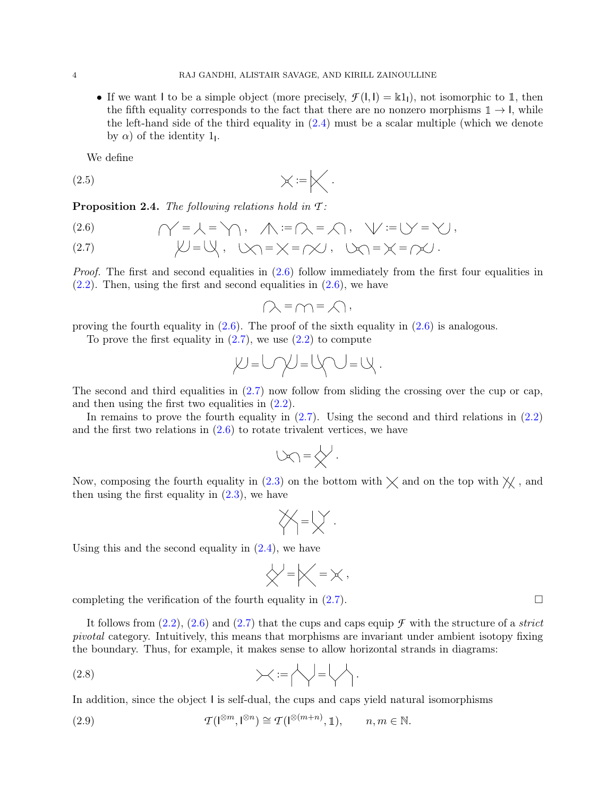• If we want I to be a simple object (more precisely,  $\mathcal{F}(1,1) = \mathbb{k}1_1$ ), not isomorphic to 1, then the fifth equality corresponds to the fact that there are no nonzero morphisms  $1 \rightarrow I$ , while the left-hand side of the third equality in  $(2.4)$  must be a scalar multiple (which we denote by  $\alpha$ ) of the identity 1.

We define

$$
\times := \bigtimes
$$

<span id="page-3-1"></span>Proposition 2.4. *The following relations hold in T :*

<span id="page-3-3"></span><span id="page-3-2"></span>(2.6) 
$$
\bigvee = \bigwedge = \bigvee, \quad \bigwedge := \bigwedge = \bigwedge, \quad \bigvee := \bigvee = \bigvee, (2.7) \qquad \qquad \bigvee = \bigvee, \quad \bigvee_{i=1} = \bigvee = \bigwedge, \quad \bigvee_{i=1} = \bigwedge, \quad \bigvee_{i=1} = \bigvee, (2.8)
$$

*Proof.* The first and second equalities in 
$$
(2.6)
$$
 follow immediately from the first four equalities in  $(2.2)$ . Then, using the first and second equalities in  $(2.6)$ , we have

$$
\text{supp}\, \mathcal{L} = \text{supp}\, \mathcal{L} \text{supp}\, \mathcal{L} \text{supp}\, \mathcal{L} \text{supp}\, \mathcal{L} \text{supp}\, \mathcal{L} \text{supp}\, \mathcal{L} \text{supp}\, \mathcal{L} \text{supp}\, \mathcal{L} \text{supp}\, \mathcal{L} \text{supp}\, \mathcal{L} \text{supp}\, \mathcal{L} \text{supp}\, \mathcal{L} \text{supp}\, \mathcal{L} \text{supp}\, \mathcal{L} \text{supp}\, \mathcal{L} \text{supp}\, \mathcal{L} \text{supp}\, \mathcal{L} \text{supp}\, \mathcal{L} \text{supp}\, \mathcal{L} \text{supp}\, \mathcal{L} \text{supp}\, \mathcal{L} \text{supp}\, \mathcal{L} \text{supp}\, \mathcal{L} \text{supp}\, \mathcal{L} \text{supp}\, \mathcal{L} \text{supp}\, \mathcal{L} \text{supp}\, \mathcal{L} \text{supp}\, \mathcal{L} \text{supp}\, \mathcal{L} \text{supp}\, \mathcal{L} \text{supp}\, \mathcal{L} \text{supp}\, \mathcal{L} \text{supp}\, \mathcal{L} \text{supp}\, \mathcal{L} \text{supp}\, \mathcal{L} \text{supp}\, \mathcal{L} \text{supp}\, \mathcal{L} \text{supp}\, \mathcal{L} \text{supp}\, \mathcal{L} \text{supp}\, \mathcal{L} \text{supp}\, \mathcal{L} \text{supp}\, \mathcal{L} \text{supp}\, \mathcal{L} \text{supp}\, \mathcal{L} \text{supp}\, \mathcal{L} \text{supp}\, \mathcal{L} \text{supp}\, \mathcal{L} \text{supp}\, \mathcal{L} \text{supp}\, \mathcal{L} \text{supp}\, \mathcal{L} \text{supp}\, \mathcal{L} \text{supp}\, \mathcal{L} \text{supp}\, \mathcal{L} \text{supp}\, \mathcal{L} \text{supp}\, \mathcal{L} \text{supp}\, \mathcal{L} \text{supp}\, \mathcal{L} \text{supp
$$

proving the fourth equality in [\(2.6\)](#page-3-2). The proof of the sixth equality in [\(2.6\)](#page-3-2) is analogous.

To prove the first equality in  $(2.7)$ , we use  $(2.2)$  to compute

$$
\mathcal{Y}=\bigcup\mathcal{Y}=\bigcup\bigcup_{i=1}^n\mathcal{Y}=\bigcup_{i=1}^n\mathcal{Y}.
$$

The second and third equalities in [\(2.7\)](#page-3-3) now follow from sliding the crossing over the cup or cap, and then using the first two equalities in [\(2.2\)](#page-2-3).

In remains to prove the fourth equality in [\(2.7\)](#page-3-3). Using the second and third relations in [\(2.2\)](#page-2-3) and the first two relations in  $(2.6)$  to rotate trivalent vertices, we have

$$
\bigcup_{i=1}^n \mathcal{A}_i = \bigwedge_{i=1}^n \mathcal{A}_i.
$$

Now, composing the fourth equality in [\(2.3\)](#page-2-2) on the bottom with  $\times$  and on the top with  $\times$ , and then using the first equality in  $(2.3)$ , we have

$$
\bigvee_{i}=\bigvee_{i}.
$$

Using this and the second equality in  $(2.4)$ , we have

= = ,

completing the verification of the fourth equality in  $(2.7)$ .

It follows from  $(2.2)$ ,  $(2.6)$  and  $(2.7)$  that the cups and caps equip *F* with the structure of a *strict pivotal* category. Intuitively, this means that morphisms are invariant under ambient isotopy fixing the boundary. Thus, for example, it makes sense to allow horizontal strands in diagrams:

$$
\times := \bigwedge = \bigvee = \bigvee.
$$

In addition, since the object I is self-dual, the cups and caps yield natural isomorphisms

<span id="page-3-4"></span><span id="page-3-0"></span>(2.9) 
$$
\mathcal{T}(\mathbf{l}^{\otimes m}, \mathbf{l}^{\otimes n}) \cong \mathcal{T}(\mathbf{l}^{\otimes (m+n)}, \mathbb{1}), \qquad n, m \in \mathbb{N}.
$$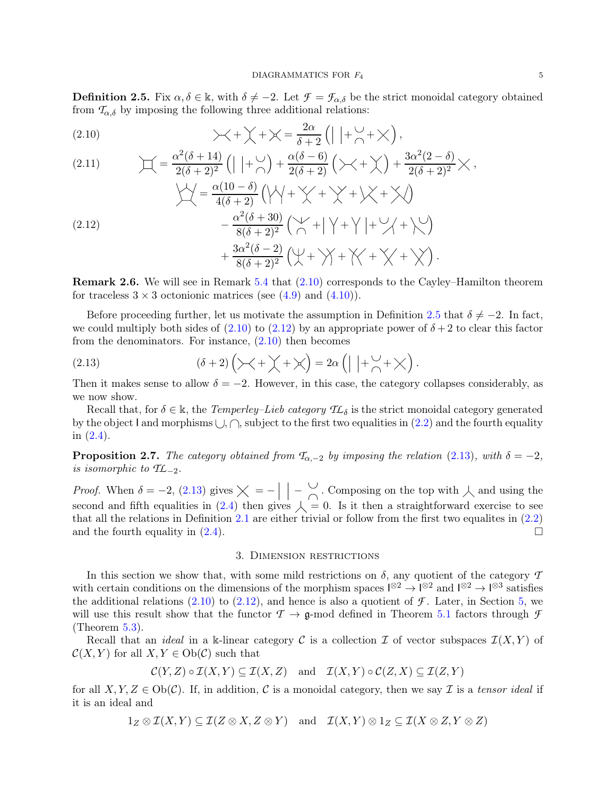**Definition 2.5.** Fix  $\alpha, \delta \in \mathbb{k}$ , with  $\delta \neq -2$ . Let  $\mathcal{F} = \mathcal{F}_{\alpha,\delta}$  be the strict monoidal category obtained from  $\mathcal{T}_{\alpha,\delta}$  by imposing the following three additional relations:

<span id="page-4-1"></span>(2.10) 
$$
\times + \times + \times = \frac{2\alpha}{\delta + 2} (| | + \bigcirc_{\gamma} + \times ),
$$

<span id="page-4-4"></span>(2.11) 
$$
\iint_{\mathcal{L}} = \frac{\alpha^2(\delta + 14)}{2(\delta + 2)^2} \left( \left| \left| + \frac{\vee}{\wedge} \right| + \frac{\alpha(\delta - 6)}{2(\delta + 2)} \left( \times + \chi \right) + \frac{3\alpha^2(2 - \delta)}{2(\delta + 2)^2} \times \right|
$$

$$
\frac{\lambda}{\chi} = \frac{\alpha(10 - \delta)}{4(\delta + 2)} \left( \left| \sqrt{1 + \chi} + \chi \right| + \left| \sqrt{1 + \chi} \right| \right)
$$

$$
- \frac{\alpha^2(\delta + 30)}{8(\delta + 2)^2} \left( \left| \sqrt{1 + \chi} + \chi \right| + \left| \sqrt{1 + \chi} \right| \right)
$$

$$
+ \frac{3\alpha^2(\delta - 2)}{8(\delta + 2)^2} \left( \chi + \chi + \chi + \chi \right).
$$

<span id="page-4-2"></span>Remark 2.6. We will see in Remark [5.4](#page-14-1) that [\(2.10\)](#page-4-1) corresponds to the Cayley–Hamilton theorem for traceless  $3 \times 3$  octonionic matrices (see  $(4.9)$  and  $(4.10)$ ).

Before proceeding further, let us motivate the assumption in Definition [2.5](#page-3-0) that  $\delta \neq -2$ . In fact, we could multiply both sides of  $(2.10)$  to  $(2.12)$  by an appropriate power of  $\delta + 2$  to clear this factor from the denominators. For instance,  $(2.10)$  then becomes

<span id="page-4-3"></span>(2.13) 
$$
(\delta+2)\left(\searrow+\searrow+\searrow\right)=2\alpha\left(\left|\left|+\searrow+\searrow\right.\right).
$$

Then it makes sense to allow  $\delta = -2$ . However, in this case, the category collapses considerably, as we now show.

Recall that, for  $\delta \in \mathbb{k}$ , the *Temperley–Lieb category*  $\mathcal{IL}_{\delta}$  is the strict monoidal category generated by the object I and morphisms  $\cup$ ,  $\cap$ , subject to the first two equalities in [\(2.2\)](#page-2-3) and the fourth equality in  $(2.4)$ .

<span id="page-4-0"></span>**Proposition 2.7.** *The category obtained from*  $T_{\alpha,-2}$  *by imposing the relation* [\(2.13\)](#page-4-3)*, with*  $\delta = -2$ *, is isomorphic to*  $TL_{-2}$ *.* 

*Proof.* When  $\delta = -2$ , [\(2.13\)](#page-4-3) gives  $\times = |$   $|$   $\sim$   $\sim$  Composing on the top with  $\lambda$  and using the second and fifth equalities in [\(2.4\)](#page-2-4) then gives  $\lambda = 0$ . Is it then a straightforward exercise to see that all the relations in Definition [2.1](#page-2-1) are either trivial or follow from the first two equalites in [\(2.2\)](#page-2-3) and the fourth equality in  $(2.4)$ .

### 3. Dimension restrictions

In this section we show that, with some mild restrictions on  $\delta$ , any quotient of the category  $\mathcal T$ with certain conditions on the dimensions of the morphism spaces  $\mathbb{R}^2 \to \mathbb{R}^2$  and  $\mathbb{R}^2 \to \mathbb{R}^3$  satisfies the additional relations  $(2.10)$  to  $(2.12)$ , and hence is also a quotient of *F*. Later, in Section [5,](#page-12-1) we will use this result show that the functor  $\mathcal{T} \to \mathfrak{g}\text{-mod}$  defined in Theorem [5.1](#page-12-0) factors through  $\mathcal{F}$ (Theorem [5.3\)](#page-14-0).

Recall that an *ideal* in a k-linear category C is a collection  $\mathcal I$  of vector subspaces  $\mathcal I(X, Y)$  of  $\mathcal{C}(X, Y)$  for all  $X, Y \in Ob(\mathcal{C})$  such that

$$
\mathcal{C}(Y,Z) \circ \mathcal{I}(X,Y) \subseteq \mathcal{I}(X,Z)
$$
 and  $\mathcal{I}(X,Y) \circ \mathcal{C}(Z,X) \subseteq \mathcal{I}(Z,Y)$ 

for all  $X, Y, Z \in Ob(\mathcal{C})$ . If, in addition,  $\mathcal C$  is a monoidal category, then we say  $\mathcal I$  is a *tensor ideal* if it is an ideal and

 $1_Z \otimes \mathcal{I}(X, Y) \subseteq \mathcal{I}(Z \otimes X, Z \otimes Y)$  and  $\mathcal{I}(X, Y) \otimes 1_Z \subseteq \mathcal{I}(X \otimes Z, Y \otimes Z)$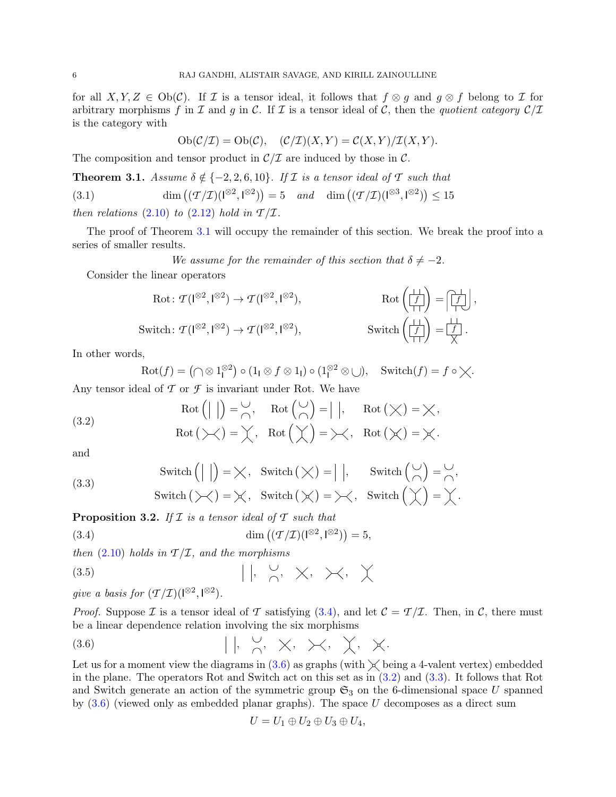for all X, Y, Z  $\in$  Ob(C). If I is a tensor ideal, it follows that  $f \otimes g$  and  $g \otimes f$  belong to I for arbitrary morphisms f in I and g in C. If I is a tensor ideal of C, then the *quotient category*  $C/\mathcal{I}$ is the category with

<span id="page-5-7"></span>Ob
$$
(\mathcal{C}/\mathcal{I}) = Ob(\mathcal{C}), \quad (\mathcal{C}/\mathcal{I})(X, Y) = \mathcal{C}(X, Y)/\mathcal{I}(X, Y).
$$

<span id="page-5-0"></span>The composition and tensor product in  $\mathcal{C}/\mathcal{I}$  are induced by those in  $\mathcal{C}$ .

**Theorem 3.1.** Assume  $\delta \notin \{-2, 2, 6, 10\}$ . If  $\mathcal I$  is a tensor ideal of  $\mathcal T$  such that

(3.1) 
$$
\dim ((\mathcal{T}/\mathcal{I})(I^{\otimes 2}, I^{\otimes 2})) = 5 \quad and \quad \dim ((\mathcal{T}/\mathcal{I})(I^{\otimes 3}, I^{\otimes 2})) \le 15
$$

*then relations*  $(2.10)$  *to*  $(2.12)$  *hold in*  $T/\mathcal{I}$ *.* 

The proof of Theorem [3.1](#page-5-0) will occupy the remainder of this section. We break the proof into a series of smaller results.

*We assume for the remainder of this section that*  $\delta \neq -2$ *.* 

Consider the linear operators

$$
\text{Rot}: \mathcal{T}(\mathsf{I}^{\otimes 2}, \mathsf{I}^{\otimes 2}) \to \mathcal{T}(\mathsf{I}^{\otimes 2}, \mathsf{I}^{\otimes 2}), \qquad \qquad \text{Rot}\left(\frac{\mathsf{I}}{|\mathsf{I}|}\right) = \begin{bmatrix} \mathsf{I} \\ \mathsf{I} \\ \mathsf{I} \end{bmatrix},
$$
\n
$$
\text{Switch}: \mathcal{T}(\mathsf{I}^{\otimes 2}, \mathsf{I}^{\otimes 2}) \to \mathcal{T}(\mathsf{I}^{\otimes 2}, \mathsf{I}^{\otimes 2}), \qquad \qquad \text{Switch}\left(\frac{\mathsf{I}}{|\mathsf{I}|}\right) = \begin{bmatrix} \mathsf{I} \\ \mathsf{I} \\ \mathsf{I} \end{bmatrix}.
$$

In other words,

<span id="page-5-3"></span>
$$
\text{Rot}(f) = (\bigcap \otimes 1_1^{\otimes 2}) \circ (1_1 \otimes f \otimes 1_1) \circ (1_1^{\otimes 2} \otimes \bigcup), \quad \text{Switch}(f) = f \circ \bigtimes.
$$

Any tensor ideal of  $\mathcal T$  or  $\mathcal F$  is invariant under Rot. We have

(3.2) 
$$
\operatorname{Rot}\left(\big|\big|\big|\right) = \big|\big|, \quad \operatorname{Rot}\left(\big|\big|\big|\right) = \big|\big|, \quad \operatorname{Rot}\left(\big|\big|\big|\right) = \big|\big|, \quad \operatorname{Rot}\left(\big|\big|\big|\right) = \big|\big|, \quad \operatorname{Rot}\left(\big|\big|\big|\right) = \big|\big|\big|.
$$

and

<span id="page-5-4"></span>(3.3) 
$$
\text{Switch}\left(\left|\right|\right) = \times, \quad \text{Switch}\left(\times\right) = \left|\right|, \quad \text{Switch}\left(\bigcap_{n=0}^{\infty}\right) = \bigcap_{n=0}^{\infty},
$$

$$
\text{Switch}\left(\times\right) = \times, \quad \text{Switch}\left(\times\right) = \times, \quad \text{Switch}\left(\left(\times\right) = \times\right).
$$

<span id="page-5-6"></span>Proposition 3.2. *If* I *is a tensor ideal of T such that*

<span id="page-5-1"></span>(3.4) 
$$
\dim ((\mathcal{T}/\mathcal{I})(I^{\otimes 2}, I^{\otimes 2})) = 5,
$$

*then*  $(2.10)$  *holds in*  $\mathcal{T}/\mathcal{I}$ *, and the morphisms* 

(3.5) , , , ,

*give a basis for*  $(\mathcal{T}/\mathcal{I})(I^{\otimes 2}, I^{\otimes 2})$ *.* 

*Proof.* Suppose  $\mathcal I$  is a tensor ideal of  $\mathcal T$  satisfying [\(3.4\)](#page-5-1), and let  $\mathcal C = \mathcal T/\mathcal I$ . Then, in  $\mathcal C$ , there must be a linear dependence relation involving the six morphisms

$$
(3.6) \t\t\t |\t|, \quad \begin{matrix} \cup \\ \cap \\ \cap \end{matrix}, \quad \times, \quad \times, \quad \begin{matrix} \vee \\ \vee \\ \cap \end{matrix}, \quad \times.
$$

Let us for a moment view the diagrams in  $(3.6)$  as graphs (with  $\times$  being a 4-valent vertex) embedded in the plane. The operators Rot and Switch act on this set as in [\(3.2\)](#page-5-3) and [\(3.3\)](#page-5-4). It follows that Rot and Switch generate an action of the symmetric group  $\mathfrak{S}_3$  on the 6-dimensional space U spanned by  $(3.6)$  (viewed only as embedded planar graphs). The space U decomposes as a direct sum

<span id="page-5-5"></span><span id="page-5-2"></span>
$$
U = U_1 \oplus U_2 \oplus U_3 \oplus U_4,
$$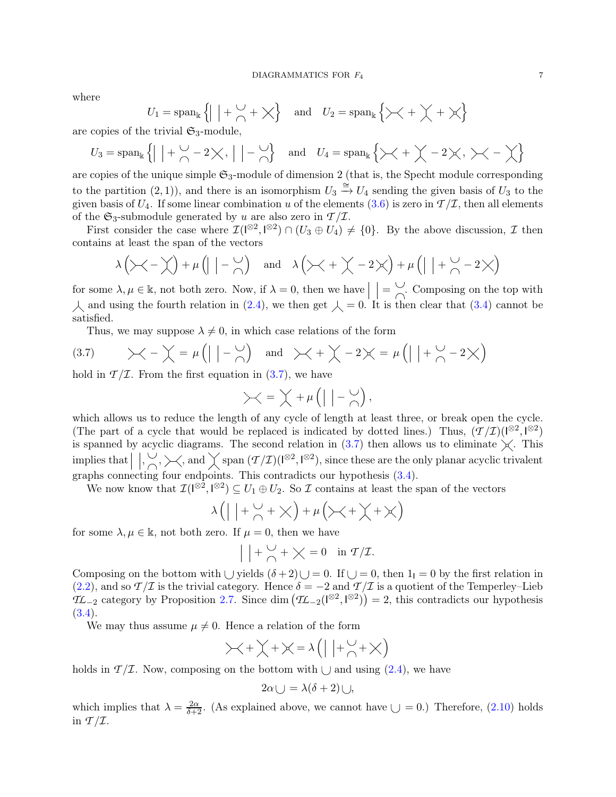where

$$
U_1 = \operatorname{span}_{\mathbb{k}} \left\{ \Big| \Big| + \bigwedge_{i=1}^{n} + \bigtimes \right\} \quad \text{and} \quad U_2 = \operatorname{span}_{\mathbb{k}} \left\{ \bigtimes_{i=1}^{n} + \bigtimes_{i=1}^{n} + \bigtimes_{i=1}^{n} \right\}
$$

are copies of the trivial  $\mathfrak{S}_3$ -module,

$$
U_3 = \mathrm{span}_{\mathbb{k}} \left\{ \Big| \Big| + \big| \begin{matrix} \cup & -2 \\ \cap & \end{matrix} \Big| - \big| \begin{matrix} \cup \\ \cap \end{matrix} \right\} \quad \text{and} \quad U_4 = \mathrm{span}_{\mathbb{k}} \left\{ \begin{matrix} \cup & + \end{matrix} \Big| \begin{matrix} \cup & -2 \\ \cap & \end{matrix} \Big| - \big| \begin{matrix} \cup & -2 \\ \cap & \end{matrix} \Big| \begin{matrix} \cup & -2 \\ \cap & \end{matrix} \Big| \begin{matrix} \cup & -2 \\ \cap & \end{matrix} \Big| \begin{matrix} \cup & -2 \\ \cap & \end{matrix} \Big| \begin{matrix} \cup & -2 \\ \cap & \end{matrix} \Big| \begin{matrix} \cup & -2 \\ \cap & \end{matrix} \Big| \begin{matrix} \cup & -2 \\ \cap & \end{matrix} \Big| \begin{matrix} \cup & -2 \\ \cap & \end{matrix} \Big| \begin{matrix} \cup & -2 \\ \cap & \end{matrix} \Big| \begin{matrix} \cup & -2 \\ \cap & \end{matrix} \Big| \begin{matrix} \cup & -2 \\ \cap & \end{matrix} \Big| \begin{matrix} \cup & -2 \\ \cap & \end{matrix} \Big| \begin{matrix} \cup & -2 \\ \cap & \end{matrix} \Big| \begin{matrix} \cup & -2 \\ \cap & \end{matrix} \Big| \begin{matrix} \cup & -2 \\ \cap & \end{matrix} \Big| \begin{matrix} \cup & -2 \\ \cap & \end{matrix} \Big| \begin{matrix} \cup & -2 \\ \cap & \end{matrix} \Big| \begin{matrix} \cup & -2 \\ \cap & \end{matrix} \Big| \begin{matrix} \cup & -2 \\ \cap & \end{matrix} \Big| \begin{matrix} \cup & -2 \\ \cap & \end{matrix} \Big| \begin{matrix} \cup & -2 \\ \cap & \end{matrix} \Big| \begin{matrix} \cup & -2 \\ \cap & \end{matrix} \Big| \begin{matrix} \cup & -2 \\ \cap & \end{matrix} \Big| \begin{matrix} \cup &
$$

are copies of the unique simple  $\mathfrak{S}_3$ -module of dimension 2 (that is, the Specht module corresponding to the partition  $(2, 1)$ , and there is an isomorphism  $U_3 \stackrel{\cong}{\rightarrow} U_4$  sending the given basis of  $U_3$  to the given basis of  $U_4$ . If some linear combination u of the elements [\(3.6\)](#page-5-2) is zero in  $\mathcal{T}/\mathcal{I}$ , then all elements of the  $\mathfrak{S}_3$ -submodule generated by u are also zero in  $\mathcal{T}/\mathcal{I}$ .

First consider the case where  $\mathcal{I}(\mathbb{R}^2, \mathbb{R}^2) \cap (U_3 \oplus U_4) \neq \{0\}$ . By the above discussion,  $\mathcal{I}$  then contains at least the span of the vectors

$$
\lambda\left(\left|\angle\left\langle-\right\rangle\right\rangle+\mu\left(\left|\left|\left-\right\rangle\right\rangle\right)\right)\quad\text{and}\quad\lambda\left(\left|\left|\left\langle\left|\left\langle+\right\rangle\right\rangle\right\rangle\right\langle+\mu\left|\left|\left|\left|\left|\left|\left|\left\langle\left|\right\rangle\right\rangle\right\langle\right|\right.\right\rangle\right\langle\right|\right)\right)
$$

for some  $\lambda, \mu \in \mathbb{k}$ , not both zero. Now, if  $\lambda = 0$ , then we have  $\vert \vert = \bigcirc$ . Composing on the top with  $\lambda$  and using the fourth relation in [\(2.4\)](#page-2-4), we then get  $\lambda = 0$ . It is then clear that [\(3.4\)](#page-5-1) cannot be satisfied.

<span id="page-6-0"></span>Thus, we may suppose  $\lambda \neq 0$ , in which case relations of the form

(3.7) 
$$
\times - \times = \mu ( \vert - \frac{\cup}{\cap} \rangle
$$
 and  $\times + \times - 2 \times = \mu ( \vert + \frac{\cup}{\cap} - 2 \times )$ 

hold in  $T/\mathcal{I}$ . From the first equation in  $(3.7)$ , we have

$$
\geqslant \lambda_{\text{max}} = \text{max}\left(\text{max}\left(\text{max}\left\{\text{max}\left\{\text{max}\left\{\text{max}\left\{\text{max}\left\{\text{max}\left\{\text{max}\left\{\text{max}\left\{\text{max}\left\{\text{max}\left\{\text{max}\left\{\text{max}\left\{\text{max}\left\{\text{max}\left\{\text{max}\left\{\text{max}\left\{\text{max}\left\{\text{max}\left\{\text{max}\left\{\text{max}\left\{\text{max}\left\{\text{max}\left\{\text{max}\left\{\text{max}\left\{\text{max}\left\{\text{max}\left\{\text{max}\left\{\text{max}\left\{\text{max}\left\{\text{max}\left\{\text{max}\left\{\text{max}\left\{\text{max}\left\{\text{max}\left\{\text{max}\left\{\text{max}\left\{\text{max}\left\{\text{max}\left\{\text{max}\left\{\text{max}\left\{\text{max}\left\{\text{max}\left\{\text{max}\left\{\text{max}\left\{\text{max}\left\{\text{max}\left\{\text{max}\left\{\text{max}\left\{\text{max}\left\{\text{max}\left\{\text{max}\left\{\text{max}\left\{\text{max}\left\{\text{max}\left\{\text{max}\left\{\text{max}\left\{\text{max}\left\{\text{max}\left\{\text{max}\left\{\text{max}\left\{\text{max}\left\{\text{max}\left\{\text{max}\left\{\text{max}\left\{\text{max}\left\{\text{max}\left\{\text{max}\left\{\text{max}\left\{\text{max}\left\{\text{max}\left\{\text{max}\left\{\text{max}\left\{\text{max}\left\{\text{max}\left\{\text{max}\left\{\text{max}\left\{\text{max}\left\{\text{max}\left\{\text{max}\left\{\text{max}\left\{\text{max}\left\{\text{max}\left\{\text{max}\left\{\text{max}\left\{\text{max}\left\{\text{max}\left\{\text{max}\left\{\text{max}\left\{\text{max}\left\{\text{max}\left\{\text{max}\left\{\text{max}\left\{\text{max}\left\{\text{max}\left\{\text{max}\left\{\text{max}\left\{\text{max}\left\{\text{max}\left\{\text{max}\left\{\text{max}\left\{\text{max}\left\{\text{max}\left\{\text{max}\left\{\text{max}\left\{\text{max}\left
$$

which allows us to reduce the length of any cycle of length at least three, or break open the cycle. (The part of a cycle that would be replaced is indicated by dotted lines.) Thus,  $(\mathcal{T}/\mathcal{I})(\mathbb{I}^{\otimes 2}, \mathbb{I}^{\otimes 2})$ is spanned by acyclic diagrams. The second relation in  $(3.7)$  then allows us to eliminate  $\times$ . This implies that  $\big|, \bigcirc, \bigtimes$ , and  $\bigvee$  span  $(T/\mathcal{I})$ ( $\{^{\otimes 2}, \{^{\otimes 2}\}\}$ , since these are the only planar acyclic trivalent graphs connecting four endpoints. This contradicts our hypothesis [\(3.4\)](#page-5-1).

We now know that  $\mathcal{I}(\mathbb{R}^2, \mathbb{R}^2) \subseteq U_1 \oplus U_2$ . So  $\mathcal I$  contains at least the span of the vectors

$$
\lambda\left(\left|\left.\right|+\stackrel{\cup}{\cap}+\times\right)+\mu\left(\right)\rightleftarrow+\leftarrow+\times\right)
$$

for some  $\lambda, \mu \in \mathbb{k}$ , not both zero. If  $\mu = 0$ , then we have

$$
\Big|\Big| + \bigcirc_{\bigcap} + \bigtimes = 0 \quad \text{in } T/\mathcal{I}.
$$

Composing on the bottom with  $\cup$  yields  $(\delta + 2) \cup = 0$ . If  $\cup = 0$ , then  $1<sub>1</sub> = 0$  by the first relation in [\(2.2\)](#page-2-3), and so  $\mathcal{T}/\mathcal{I}$  is the trivial category. Hence  $\delta = -2$  and  $\mathcal{T}/\mathcal{I}$  is a quotient of the Temperley–Lieb  $TL_{-2}$  category by Proposition [2.7.](#page-4-0) Since dim  $(\mathcal{TL}_{-2}(\mathbb{I}^{\otimes 2}, \mathbb{I}^{\otimes 2})) = 2$ , this contradicts our hypothesis [\(3.4\)](#page-5-1).

We may thus assume  $\mu \neq 0$ . Hence a relation of the form

$$
\left\{\left|\left|+\right\rangle\left|+\right\rangle\left|+\right\rangle\left|+\right\rangle\left|+\right\rangle\left|+\right\rangle\left|+\right\rangle\left|+\right\rangle\left|+\right\rangle\left|+\right\rangle\left|+\right\rangle\left|+\right\rangle\left|+\right\rangle\left|+\right\rangle\left|+\right\rangle\left|+\right\rangle\left|+\right\rangle\left|+\right\rangle\left|+\right\rangle\left|+\right\rangle\left|+\right\rangle\left|+\right\rangle\left|+\right\rangle\left|+\right\rangle\left|+\right\rangle\left|+\right\rangle\left|+\right\rangle\left|+\right\rangle\left|+\right\rangle\left|+\right\rangle\left|+\right\rangle\left|+\right\rangle\left|+\right\rangle\left|+\right\rangle\left|+\right\rangle\left|+\right\rangle\left|+\right\rangle\left|+\right\rangle\left|+\right\rangle\left|+\right\rangle\left|+\right\rangle\left|+\right\rangle\left|+\right\rangle\left|+\right\rangle\left|+\right\rangle\left|+\right\rangle\left|+\right\rangle\left|+\right\rangle\left|+\right\rangle\left|+\right\rangle\left|+\right\rangle\left|+\right\rangle\left|+\right\rangle\left|+\right\rangle\left|+\right\rangle\left|+\right\rangle\left|+\right\rangle\left|+\right\rangle\left|+\right\rangle\left|+\right\rangle\left|+\right\rangle\left|+\right\rangle\left|+\right\rangle\left|+\right\rangle\left|+\right\rangle\left|+\right\rangle\left|+\right\rangle\left|+\right\rangle\left|+\right\rangle\left|+\right\rangle\left|+\right\rangle\left|+\right\rangle\left|+\right\rangle\left|+\right\rangle\left|+\right\rangle\left|+\right\rangle\left|+\right\rangle\left|+\right\rangle\left|+\right\rangle\left|+\right\rangle\left|+\right\rangle\left|+\right\rangle\left|+\right\rangle\left|+\right\rangle\left|+\right\rangle\left|+\right\rangle\left|+\right\rangle\left|+\right\rangle\left|+\right\rangle\left|+\right\rangle\left|+\right\rangle\left|+\right\rangle\left|+\right\rangle\left|+\right\rangle\left|+\right\rangle\left|+\right\rangle\left|+\right\rangle\left|+\right\rangle\left|+\right\rangle\left|+\right\rangle\left|+\right\rangle\left|+\right\rangle\left|+\right\rangle\left|+\right\rangle\left|+\right\rangle\left|+\right\rangle\left|+\right\rangle\left|+\right\r
$$

holds in  $\mathcal{T}/\mathcal{I}$ . Now, composing on the bottom with  $\cup$  and using [\(2.4\)](#page-2-4), we have

$$
2\alpha \cup = \lambda(\delta + 2) \cup,
$$

which implies that  $\lambda = \frac{2\alpha}{\delta + 2}$ . (As explained above, we cannot have  $\bigcup = 0$ .) Therefore, [\(2.10\)](#page-4-1) holds in  $\mathcal{T}/\mathcal{I}$ .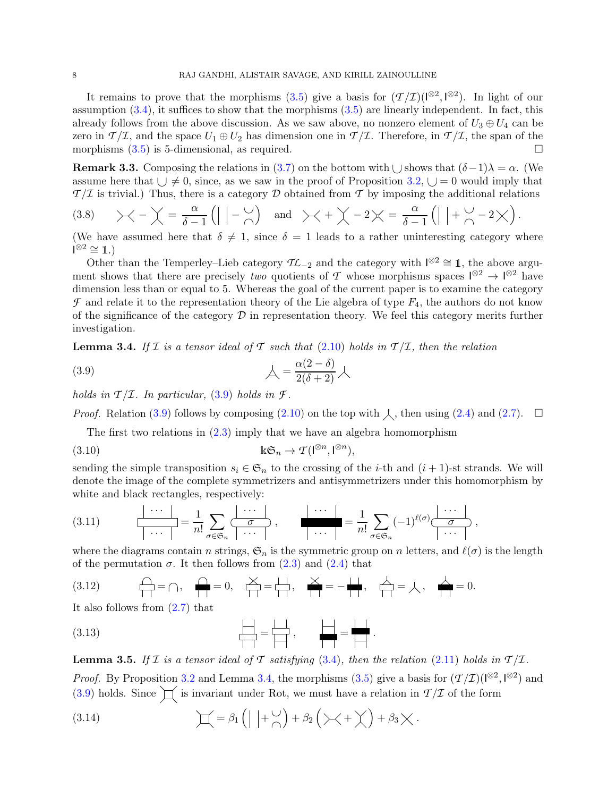It remains to prove that the morphisms  $(3.5)$  give a basis for  $(\mathcal{T}/\mathcal{I})(I^{\otimes 2},I^{\otimes 2})$ . In light of our assumption  $(3.4)$ , it suffices to show that the morphisms  $(3.5)$  are linearly independent. In fact, this already follows from the above discussion. As we saw above, no nonzero element of  $U_3 \oplus U_4$  can be zero in  $\mathcal{T}/\mathcal{I}$ , and the space  $U_1 \oplus U_2$  has dimension one in  $\mathcal{T}/\mathcal{I}$ . Therefore, in  $\mathcal{T}/\mathcal{I}$ , the span of the morphisms  $(3.5)$  is 5-dimensional, as required.

<span id="page-7-4"></span>**Remark 3.3.** Composing the relations in [\(3.7\)](#page-6-0) on the bottom with  $\cup$  shows that  $(\delta - 1)\lambda = \alpha$ . (We assume here that  $\cup \neq 0$ , since, as we saw in the proof of Proposition [3.2,](#page-5-6)  $\cup = 0$  would imply that  $T/\mathcal{I}$  is trivial.) Thus, there is a category  $\mathcal D$  obtained from  $\mathcal T$  by imposing the additional relations

(3.8) 
$$
\chi - \chi = \frac{\alpha}{\delta - 1} (| - \frac{\upsilon}{\Omega} )
$$
 and  $\chi + \chi - 2\chi = \frac{\alpha}{\delta - 1} (| + \frac{\upsilon}{\Omega} - 2\chi).$ 

(We have assumed here that  $\delta \neq 1$ , since  $\delta = 1$  leads to a rather uninteresting category where  $\dot{I}^{\otimes 2} \cong 1.$ 

Other than the Temperley–Lieb category  $\mathcal{TL}_{-2}$  and the category with  $I^{\otimes 2} \cong \mathbb{1}$ , the above argument shows that there are precisely *two* quotients of *T* whose morphisms spaces  $\sqrt{2} \rightarrow \sqrt{2}$  have dimension less than or equal to 5. Whereas the goal of the current paper is to examine the category  $\mathcal F$  and relate it to the representation theory of the Lie algebra of type  $F_4$ , the authors do not know of the significance of the category  $\mathcal D$  in representation theory. We feel this category merits further investigation.

<span id="page-7-1"></span>**Lemma 3.4.** If I is a tensor ideal of T such that  $(2.10)$  holds in  $T/\mathcal{I}$ , then the relation

<span id="page-7-0"></span>
$$
(3.9) \qquad \qquad \underline{\qquad} = \frac{\alpha(2-\delta)}{2(\delta+2)} \, \underline{\qquad} \,
$$

*holds in*  $\mathcal{T}/\mathcal{I}$ *. In particular,* [\(3.9\)](#page-7-0) *holds in*  $\mathcal{F}$ *.* 

*Proof.* Relation [\(3.9\)](#page-7-0) follows by composing [\(2.10\)](#page-4-1) on the top with  $\lambda$ , then using [\(2.4\)](#page-2-4) and [\(2.7\)](#page-3-3).  $\Box$ 

The first two relations in [\(2.3\)](#page-2-2) imply that we have an algebra homomorphism

(3.10) 
$$
\mathbb{k}\mathfrak{S}_n \to \mathcal{T}(\mathbb{I}^{\otimes n}, \mathbb{I}^{\otimes n}),
$$

sending the simple transposition  $s_i \in \mathfrak{S}_n$  to the crossing of the *i*-th and  $(i + 1)$ -st strands. We will denote the image of the complete symmetrizers and antisymmetrizers under this homomorphism by white and black rectangles, respectively:

<span id="page-7-6"></span>(3.11) 
$$
\frac{|\cdots|}{|\cdots|} = \frac{1}{n!} \sum_{\sigma \in \mathfrak{S}_n} \frac{|\cdots|}{|\cdots|}, \qquad \frac{|\cdots|}{|\cdots|} = \frac{1}{n!} \sum_{\sigma \in \mathfrak{S}_n} (-1)^{\ell(\sigma)} \frac{|\cdots|}{|\cdots|},
$$

where the diagrams contain n strings,  $\mathfrak{S}_n$  is the symmetric group on n letters, and  $\ell(\sigma)$  is the length of the permutation  $\sigma$ . It then follows from [\(2.3\)](#page-2-2) and [\(2.4\)](#page-2-4) that

<span id="page-7-2"></span>
$$
(3.12) \qquad \qquad \overbrace{\Box} = \bigcap, \qquad \overbrace{\Box} = 0, \quad \overbrace{\Box} = \overbrace{\Box} \overbrace{\Box} = - \overbrace{\blacksquare} \overbrace{\blacksquare} = - \overbrace{\blacksquare} \overbrace{\Box} = \overbrace{\Box}, \quad \overbrace{\blacksquare} = 0.
$$

It also follows from [\(2.7\)](#page-3-3) that

<span id="page-7-7"></span>
$$
\begin{array}{ccc}\n(3.13) & \qquad & \qquad \boxed{\qquad} = \boxed{\qquad} \,, & \qquad \boxed{\qquad} = \boxed{\qquad} \,. \end{array}
$$

<span id="page-7-5"></span>**Lemma 3.5.** If *I* is a tensor ideal of *T* satisfying [\(3.4\)](#page-5-1), then the relation [\(2.11\)](#page-4-4) holds in  $T/L$ .

*Proof.* By Proposition [3.2](#page-5-6) and Lemma [3.4,](#page-7-1) the morphisms [\(3.5\)](#page-5-5) give a basis for  $(\mathcal{T}/\mathcal{I})^{(\infty^2, 1^{\otimes 2})}$  and [\(3.9\)](#page-7-0) holds. Since  $\Box$  is invariant under Rot, we must have a relation in  $\mathcal{T}/\mathcal{I}$  of the form

<span id="page-7-3"></span>(3.14) 
$$
\Box = \beta_1 \left( \left| \ \vert + \bigcirc_{\bigcirc} \right) + \beta_2 \left( \ \times + \bigcirc_{\bigcirc} \right) + \beta_3 \times \right).
$$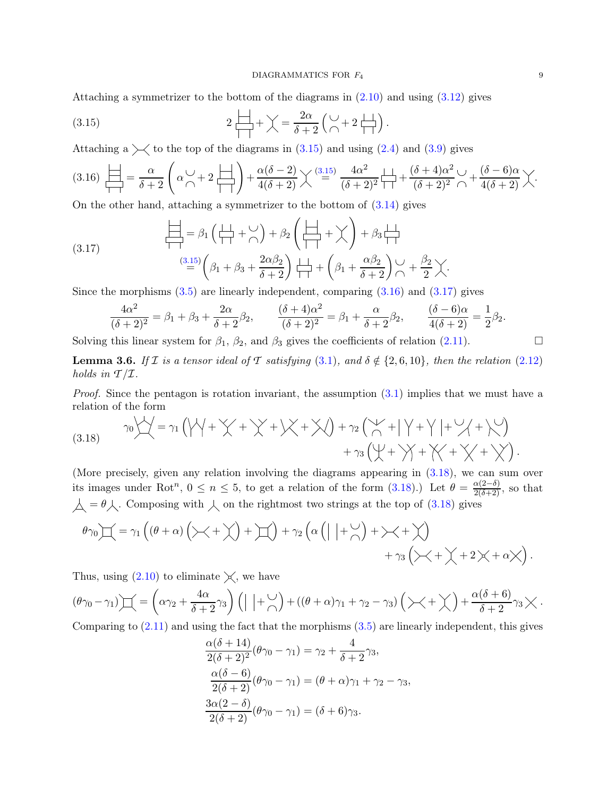Attaching a symmetrizer to the bottom of the diagrams in [\(2.10\)](#page-4-1) and using [\(3.12\)](#page-7-2) gives

<span id="page-8-0"></span>(3.15) 
$$
2 \overline{\left\vert \biguparrow \right\vert} + \Bigg\vert \Bigg\langle = \frac{2\alpha}{\delta + 2} \Bigg( \frac{\cup}{\cap} + 2 \overline{\left\vert \biguparrow \right\vert} \Bigg).
$$

Attaching a  $\searrow$  to the top of the diagrams in [\(3.15\)](#page-8-0) and using [\(2.4\)](#page-2-4) and [\(3.9\)](#page-7-0) gives

<span id="page-8-1"></span>
$$
(3.16)\ \ \begin{array}{c}\n \boxed{\qquad} \\
 \boxed{\qquad} \\
 \boxed{\qquad} \\
 \boxed{\qquad} \\
 \boxed{\qquad} \\
 \boxed{\qquad} \\
 \boxed{\qquad} \\
 \boxed{\qquad} \\
 \boxed{\qquad} \\
 \boxed{\qquad} \\
 \boxed{\qquad} \\
 \boxed{\qquad} \\
 \boxed{\qquad} \\
 \boxed{\qquad} \\
 \boxed{\qquad} \\
 \boxed{\qquad} \\
 \boxed{\qquad} \\
 \boxed{\qquad} \\
 \boxed{\qquad} \\
 \boxed{\qquad} \\
 \boxed{\qquad} \\
 \boxed{\qquad} \\
 \boxed{\qquad} \\
 \boxed{\qquad} \\
 \boxed{\qquad} \\
 \boxed{\qquad} \\
 \boxed{\qquad} \\
 \boxed{\qquad} \\
 \boxed{\qquad} \\
 \boxed{\qquad} \\
 \boxed{\qquad} \\
 \boxed{\qquad} \\
 \boxed{\qquad} \\
 \boxed{\qquad} \\
 \boxed{\qquad} \\
 \boxed{\qquad} \\
 \boxed{\qquad} \\
 \boxed{\qquad} \\
 \boxed{\qquad} \\
 \boxed{\qquad} \\
 \boxed{\qquad} \\
 \boxed{\qquad} \\
 \boxed{\qquad} \\
 \boxed{\qquad} \\
 \boxed{\qquad} \\
 \boxed{\qquad} \\
 \boxed{\qquad} \\
 \boxed{\qquad} \\
 \boxed{\qquad} \\
 \boxed{\qquad} \\
 \boxed{\qquad} \\
 \boxed{\qquad} \\
 \boxed{\qquad} \\
 \boxed{\qquad} \\
 \boxed{\qquad} \\
 \boxed{\qquad} \\
 \boxed{\qquad} \\
 \boxed{\qquad} \\
 \boxed{\qquad} \\
 \boxed{\qquad} \\
 \boxed{\qquad} \\
 \boxed{\qquad} \\
 \boxed{\qquad} \\
 \boxed{\qquad} \\
 \boxed{\qquad} \\
 \boxed{\qquad} \\
 \boxed{\qquad} \\
 \boxed{\qquad} \\
 \boxed{\qquad} \\
 \boxed{\qquad} \\
 \boxed{\qquad} \\
 \boxed{\qquad} \\
 \boxed{\qquad} \\
 \boxed{\qquad} \\
 \boxed{\qquad} \\
 \boxed{\qquad} \\
 \boxed{\qquad} \\
 \boxed{\qquad} \\
 \boxed{\qquad} \\
 \boxed{\qquad} \\
 \boxed{\qquad} \\
 \boxed{\qquad} \\
 \boxed{\qquad} \\
 \boxed{\qquad} \\
 \boxed{\qquad} \\
 \boxed{\qquad} \\
 \boxed{\qquad} \\
 \boxed{\qquad} \\
 \boxed{\qquad} \\
 \boxed{\qquad} \\
 \boxed{\qquad} \\
 \boxed{\qquad} \\
 \boxed{\qquad} \\
 \boxed{\qquad} \\
 \boxed{\qquad} \\
 \boxed{\qquad} \\
 \boxed{\qquad} \\
 \boxed{\qquad} \\
 \boxed{\qquad} \\
 \boxed{\qquad} \\
 \boxed{\qquad} \\
 \boxed{\qquad} \\
 \boxed{\qquad} \\
 \boxed{\qquad} \\
 \boxed{\qquad} \\
 \boxed{\qquad} \\
 \boxed{\
$$

On the other hand, attaching a symmetrizer to the bottom of [\(3.14\)](#page-7-3) gives

(3.17) 
$$
\begin{aligned}\n\left(\frac{1}{\Box 1}\right) &= \beta_1 \left(\frac{1}{\Box 1} + \frac{1}{\Box 1}\right) + \beta_2 \left(\frac{1}{\Box 1} + \chi\right) + \beta_3 \frac{1}{\Box 1} \\
&= \left(\beta_1 + \beta_3 + \frac{2\alpha\beta_2}{\delta + 2}\right) + \left(\beta_1 + \frac{\alpha\beta_2}{\delta + 2}\right) \frac{1}{\Box 1} + \left(\beta_2 + \frac{\alpha\beta_3}{\delta + 2}\right) \frac{1}{\Box 1} + \beta_3 \frac{1}{\Box 1} \\
&= \left(\beta_1 + \beta_2 + \frac{2\alpha\beta_3}{\delta + 2}\right) + \beta_3 \frac{1}{\Box 1} + \beta_3 \frac{1}{\Box 1} + \beta_4 \frac{1}{\Box 1} + \beta_5 \frac{1}{\Box 1} + \beta_6 \frac{1}{\Box 1} + \beta_7 \frac{1}{\Box 1}\right)\n\end{aligned}
$$

Since the morphisms  $(3.5)$  are linearly independent, comparing  $(3.16)$  and  $(3.17)$  gives

<span id="page-8-2"></span>
$$
\frac{4\alpha^2}{(\delta+2)^2} = \beta_1 + \beta_3 + \frac{2\alpha}{\delta+2}\beta_2, \qquad \frac{(\delta+4)\alpha^2}{(\delta+2)^2} = \beta_1 + \frac{\alpha}{\delta+2}\beta_2, \qquad \frac{(\delta-6)\alpha}{4(\delta+2)} = \frac{1}{2}\beta_2.
$$

<span id="page-8-4"></span>Solving this linear system for  $\beta_1$ ,  $\beta_2$ , and  $\beta_3$  gives the coefficients of relation [\(2.11\)](#page-4-4).

**Lemma 3.6.** *If*  $\mathcal I$  *is a tensor ideal of*  $\mathcal I$  *satisfying* [\(3.1\)](#page-5-7)*, and*  $\delta \notin \{2, 6, 10\}$ *, then the relation* [\(2.12\)](#page-4-2) *holds in*  $T/I$ *.* 

*Proof.* Since the pentagon is rotation invariant, the assumption  $(3.1)$  implies that we must have a relation of the form

<span id="page-8-3"></span>(3.18) γ<sup>0</sup> = γ<sup>1</sup> + + + + + γ<sup>2</sup> + + + + + γ<sup>3</sup> + + + + .

(More precisely, given any relation involving the diagrams appearing in [\(3.18\)](#page-8-3), we can sum over its images under Rot<sup>n</sup>,  $0 \le n \le 5$ , to get a relation of the form  $(3.18)$ .) Let  $\theta = \frac{\alpha(2-\delta)}{2(\delta+2)}$ , so that  $\Delta = \theta \lambda$ . Composing with  $\lambda$  on the rightmost two strings at the top of [\(3.18\)](#page-8-3) gives

$$
\theta \gamma_0 \left( \vec{r} \right) = \gamma_1 \left( (\theta + \alpha) \left( \times \left( + \right) \right) + \left( \gamma \right) \right) + \gamma_2 \left( \alpha \left( \left| \right. \right| + \left| \underset{\sim}{\sim} \right) + \times \left( + \right) \right) + \gamma_3 \left( \times \left( + \right) \left( + \alpha \right) \times \left( + \alpha \right) \right).
$$

Thus, using  $(2.10)$  to eliminate  $\times$ , we have

$$
(\theta\gamma_0-\gamma_1)\Big|_{\infty}=\left(\alpha\gamma_2+\frac{4\alpha}{\delta+2}\gamma_3\right)\left(\Big|\Big|+\frac{1}{\cap}\right)+((\theta+\alpha)\gamma_1+\gamma_2-\gamma_3)\left(\Big|\Big|+\Big|\Big|+\frac{\alpha(\delta+6)}{\delta+2}\gamma_3\Big|\Big|.
$$

Comparing to  $(2.11)$  and using the fact that the morphisms  $(3.5)$  are linearly independent, this gives

$$
\frac{\alpha(\delta+14)}{2(\delta+2)^2}(\theta\gamma_0-\gamma_1) = \gamma_2 + \frac{4}{\delta+2}\gamma_3,
$$
  

$$
\frac{\alpha(\delta-6)}{2(\delta+2)}(\theta\gamma_0-\gamma_1) = (\theta+\alpha)\gamma_1+\gamma_2-\gamma_3,
$$
  

$$
\frac{3\alpha(2-\delta)}{2(\delta+2)}(\theta\gamma_0-\gamma_1) = (\delta+6)\gamma_3.
$$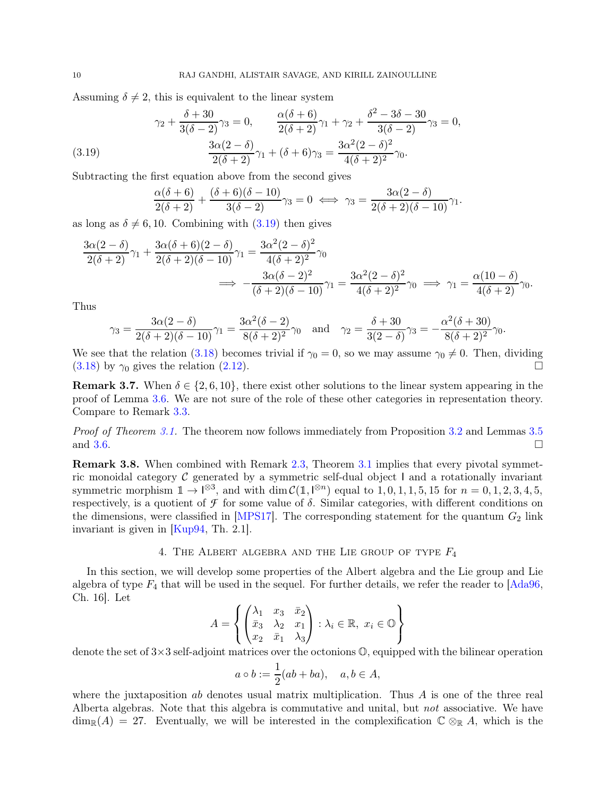Assuming  $\delta \neq 2$ , this is equivalent to the linear system

(3.19) 
$$
\gamma_2 + \frac{\delta + 30}{3(\delta - 2)} \gamma_3 = 0, \qquad \frac{\alpha(\delta + 6)}{2(\delta + 2)} \gamma_1 + \gamma_2 + \frac{\delta^2 - 3\delta - 30}{3(\delta - 2)} \gamma_3 = 0,
$$

$$
\frac{3\alpha(2 - \delta)}{2(\delta + 2)} \gamma_1 + (\delta + 6) \gamma_3 = \frac{3\alpha^2(2 - \delta)^2}{4(\delta + 2)^2} \gamma_0.
$$

<span id="page-9-0"></span>Subtracting the first equation above from the second gives

$$
\frac{\alpha(\delta+6)}{2(\delta+2)} + \frac{(\delta+6)(\delta-10)}{3(\delta-2)}\gamma_3 = 0 \iff \gamma_3 = \frac{3\alpha(2-\delta)}{2(\delta+2)(\delta-10)}\gamma_1.
$$

as long as  $\delta \neq 6, 10$ . Combining with [\(3.19\)](#page-9-0) then gives

$$
\frac{3\alpha(2-\delta)}{2(\delta+2)}\gamma_1 + \frac{3\alpha(\delta+6)(2-\delta)}{2(\delta+2)(\delta-10)}\gamma_1 = \frac{3\alpha^2(2-\delta)^2}{4(\delta+2)^2}\gamma_0
$$
  

$$
\implies -\frac{3\alpha(\delta-2)^2}{(\delta+2)(\delta-10)}\gamma_1 = \frac{3\alpha^2(2-\delta)^2}{4(\delta+2)^2}\gamma_0 \implies \gamma_1 = \frac{\alpha(10-\delta)}{4(\delta+2)}\gamma_0.
$$

Thus

$$
\gamma_3 = \frac{3\alpha(2-\delta)}{2(\delta+2)(\delta-10)}\gamma_1 = \frac{3\alpha^2(\delta-2)}{8(\delta+2)^2}\gamma_0 \text{ and } \gamma_2 = \frac{\delta+30}{3(2-\delta)}\gamma_3 = -\frac{\alpha^2(\delta+30)}{8(\delta+2)^2}\gamma_0.
$$

We see that the relation [\(3.18\)](#page-8-3) becomes trivial if  $\gamma_0 = 0$ , so we may assume  $\gamma_0 \neq 0$ . Then, dividing  $(3.18)$  by  $\gamma_0$  gives the relation  $(2.12)$ .

**Remark 3.7.** When  $\delta \in \{2, 6, 10\}$ , there exist other solutions to the linear system appearing in the proof of Lemma [3.6.](#page-8-4) We are not sure of the role of these other categories in representation theory. Compare to Remark [3.3.](#page-7-4)

*Proof of Theorem [3.1.](#page-5-0)* The theorem now follows immediately from Proposition [3.2](#page-5-6) and Lemmas [3.5](#page-7-5) and [3.6.](#page-8-4)  $\Box$ 

Remark 3.8. When combined with Remark [2.3,](#page-2-5) Theorem [3.1](#page-5-0) implies that every pivotal symmetric monoidal category  $\mathcal C$  generated by a symmetric self-dual object I and a rotationally invariant symmetric morphism  $1 \to \infty^3$ , and with dim  $\mathcal{C}(1, \mathbb{R}^n)$  equal to 1, 0, 1, 1, 5, 15 for  $n = 0, 1, 2, 3, 4, 5$ , respectively, is a quotient of  $\mathcal F$  for some value of  $\delta$ . Similar categories, with different conditions on the dimensions, were classified in [\[MPS17\]](#page-19-12). The corresponding statement for the quantum  $G_2$  link invariant is given in [\[Kup94,](#page-19-2) Th. 2.1].

## 4. THE ALBERT ALGEBRA AND THE LIE GROUP OF TYPE  $F_4$

In this section, we will develop some properties of the Albert algebra and the Lie group and Lie algebra of type  $F_4$  that will be used in the sequel. For further details, we refer the reader to  $[Ada96,$ Ch. 16]. Let

$$
A = \left\{ \begin{pmatrix} \lambda_1 & x_3 & \bar{x}_2 \\ \bar{x}_3 & \lambda_2 & x_1 \\ x_2 & \bar{x}_1 & \lambda_3 \end{pmatrix} : \lambda_i \in \mathbb{R}, \ x_i \in \mathbb{O} \right\}
$$

denote the set of  $3\times3$  self-adjoint matrices over the octonions  $\mathbb{O}$ , equipped with the bilinear operation

$$
a \circ b := \frac{1}{2}(ab + ba), \quad a, b \in A,
$$

where the juxtaposition ab denotes usual matrix multiplication. Thus  $A$  is one of the three real Alberta algebras. Note that this algebra is commutative and unital, but *not* associative. We have  $\dim_{\mathbb{R}}(A) = 27$ . Eventually, we will be interested in the complexification  $\mathbb{C} \otimes_{\mathbb{R}} A$ , which is the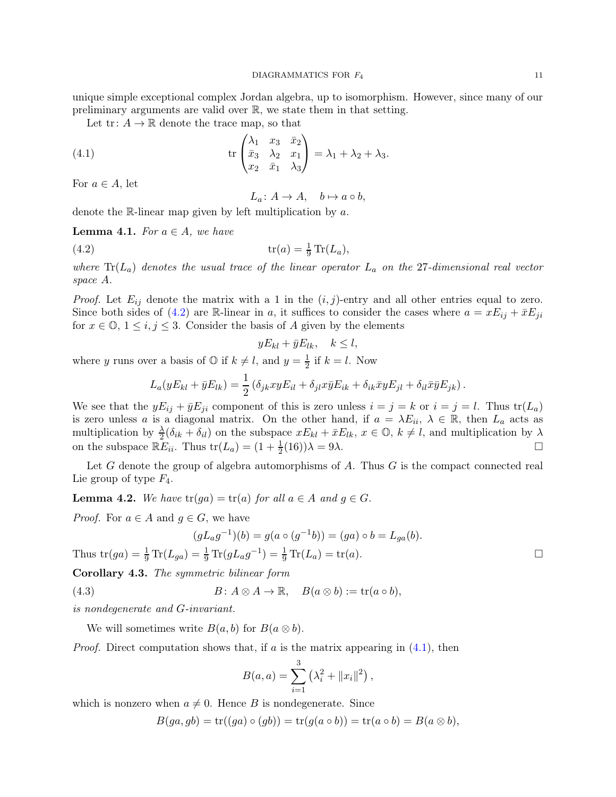unique simple exceptional complex Jordan algebra, up to isomorphism. However, since many of our preliminary arguments are valid over R, we state them in that setting.

Let  $\text{tr}: A \to \mathbb{R}$  denote the trace map, so that

(4.1) 
$$
\operatorname{tr}\begin{pmatrix} \lambda_1 & x_3 & \bar{x}_2 \\ \bar{x}_3 & \lambda_2 & x_1 \\ x_2 & \bar{x}_1 & \lambda_3 \end{pmatrix} = \lambda_1 + \lambda_2 + \lambda_3.
$$

For  $a \in A$ , let

<span id="page-10-1"></span><span id="page-10-0"></span>
$$
L_a\colon A\to A,\quad b\mapsto a\circ b,
$$

denote the R-linear map given by left multiplication by a.

**Lemma 4.1.** *For*  $a \in A$ *, we have* 

(4.2) 
$$
\operatorname{tr}(a) = \frac{1}{9} \operatorname{Tr}(L_a),
$$

*where*  $\text{Tr}(L_a)$  *denotes the usual trace of the linear operator*  $L_a$  *on the* 27-dimensional real vector *space* A*.*

*Proof.* Let  $E_{ij}$  denote the matrix with a 1 in the  $(i, j)$ -entry and all other entries equal to zero. Since both sides of [\(4.2\)](#page-10-0) are R-linear in a, it suffices to consider the cases where  $a = xE_{ij} + \bar{x}E_{ji}$ for  $x \in \mathbb{O}, 1 \leq i, j \leq 3$ . Consider the basis of A given by the elements

$$
yE_{kl} + \bar{y}E_{lk}, \quad k \leq l,
$$

where y runs over a basis of  $\mathbb{O}$  if  $k \neq l$ , and  $y = \frac{1}{2}$  $\frac{1}{2}$  if  $k = l$ . Now

$$
L_a(yE_{kl} + \bar{y}E_{lk}) = \frac{1}{2} (\delta_{jk}xyE_{il} + \delta_{jl}x\bar{y}E_{ik} + \delta_{ik}\bar{x}yE_{jl} + \delta_{il}\bar{x}\bar{y}E_{jk}).
$$

We see that the  $yE_{ij} + \bar{y}E_{ji}$  component of this is zero unless  $i = j = k$  or  $i = j = l$ . Thus  $tr(L_a)$ is zero unless a is a diagonal matrix. On the other hand, if  $a = \lambda E_{ii}$ ,  $\lambda \in \mathbb{R}$ , then  $L_a$  acts as multiplication by  $\frac{\lambda}{2}(\delta_{ik} + \delta_{il})$  on the subspace  $xE_{kl} + \bar{x}E_{lk}$ ,  $x \in \mathbb{O}$ ,  $k \neq l$ , and multiplication by  $\lambda$ on the subspace  $\mathbb{R}E_{ii}$ . Thus  $\text{tr}(L_a) = (1 + \frac{1}{2}(16))\lambda = 9\lambda$ .

Let  $G$  denote the group of algebra automorphisms of  $A$ . Thus  $G$  is the compact connected real Lie group of type  $F_4$ .

**Lemma 4.2.** We have  $tr(ga) = tr(a)$  for all  $a \in A$  and  $g \in G$ .

*Proof.* For  $a \in A$  and  $g \in G$ , we have

<span id="page-10-3"></span>
$$
(gLag-1)(b) = g(a \circ (g-1b)) = (ga) \circ b = Lga(b).
$$

Thus  $tr(ga) = \frac{1}{9} \text{Tr}(L_{ga}) = \frac{1}{9} \text{Tr}(gL_a g^{-1}) = \frac{1}{9} \text{Tr}(L_a) = \text{tr}(a).$ 

<span id="page-10-2"></span>Corollary 4.3. *The symmetric bilinear form*

(4.3) 
$$
B: A \otimes A \to \mathbb{R}, \quad B(a \otimes b) := \text{tr}(a \circ b),
$$

*is nondegenerate and* G*-invariant.*

We will sometimes write  $B(a, b)$  for  $B(a \otimes b)$ .

*Proof.* Direct computation shows that, if a is the matrix appearing in [\(4.1\)](#page-10-1), then

$$
B(a, a) = \sum_{i=1}^{3} (\lambda_i^2 + ||x_i||^2),
$$

which is nonzero when  $a \neq 0$ . Hence B is nondegenerate. Since

$$
B(ga, gb) = \operatorname{tr}((ga) \circ (gb)) = \operatorname{tr}(g(a \circ b)) = \operatorname{tr}(a \circ b) = B(a \otimes b),
$$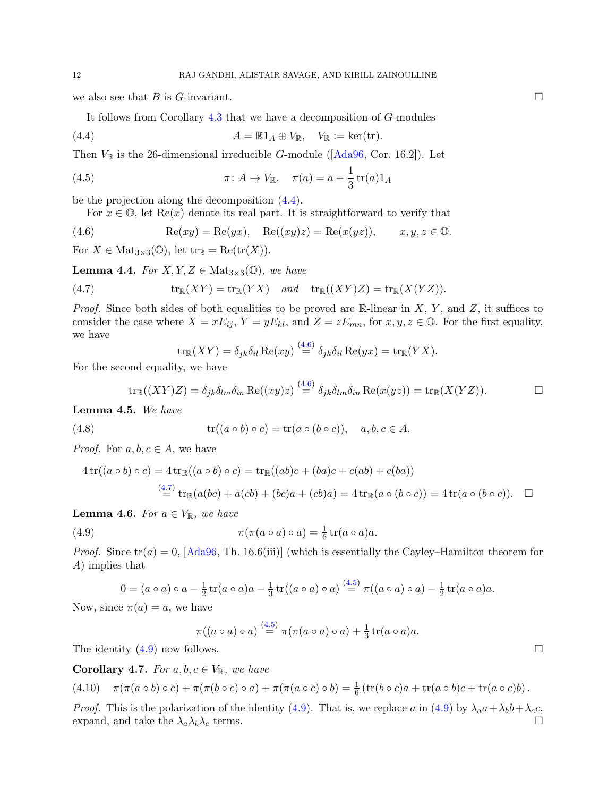we also see that B is G-invariant.

<span id="page-11-2"></span>It follows from Corollary [4.3](#page-10-2) that we have a decomposition of G-modules

(4.4) 
$$
A = \mathbb{R}1_A \oplus V_{\mathbb{R}}, \quad V_{\mathbb{R}} := \ker(\mathrm{tr}).
$$

Then  $V_{\mathbb{R}}$  is the 26-dimensional irreducible *G*-module ( $\lbrack \text{Ada96}, \text{Cor. } 16.2 \rbrack$ ). Let

<span id="page-11-5"></span>(4.5) 
$$
\pi: A \to V_{\mathbb{R}}, \quad \pi(a) = a - \frac{1}{3} \text{tr}(a) 1_A
$$

be the projection along the decomposition [\(4.4\)](#page-11-2).

<span id="page-11-3"></span>For  $x \in \mathbb{O}$ , let  $\text{Re}(x)$  denote its real part. It is straightforward to verify that

(4.6) 
$$
\operatorname{Re}(xy) = \operatorname{Re}(yx), \quad \operatorname{Re}((xy)z) = \operatorname{Re}(x(yz)), \qquad x, y, z \in \mathbb{O}.
$$

For  $X \in Mat_{3\times 3}(\mathbb{O})$ , let  $\text{tr}_{\mathbb{R}} = \text{Re}(\text{tr}(X)).$ 

**Lemma 4.4.** *For*  $X, Y, Z \in \text{Mat}_{3 \times 3}(\mathbb{O})$ *, we have* 

(4.7) 
$$
\operatorname{tr}_{\mathbb{R}}(XY) = \operatorname{tr}_{\mathbb{R}}(YX) \quad and \quad \operatorname{tr}_{\mathbb{R}}((XY)Z) = \operatorname{tr}_{\mathbb{R}}(X(YZ)).
$$

*Proof.* Since both sides of both equalities to be proved are  $\mathbb{R}$ -linear in X, Y, and Z, it suffices to consider the case where  $X = xE_{ij}$ ,  $Y = yE_{kl}$ , and  $Z = zE_{mn}$ , for  $x, y, z \in \mathbb{O}$ . For the first equality, we have  $\lambda$  ,  $\lambda$ 

<span id="page-11-6"></span><span id="page-11-4"></span>
$$
\operatorname{tr}_{\mathbb{R}}(XY) = \delta_{jk}\delta_{il} \operatorname{Re}(xy) \stackrel{(4.6)}{=} \delta_{jk}\delta_{il} \operatorname{Re}(yx) = \operatorname{tr}_{\mathbb{R}}(YX).
$$

For the second equality, we have

$$
\operatorname{tr}_{\mathbb{R}}((XY)Z) = \delta_{jk}\delta_{lm}\delta_{in} \operatorname{Re}((xy)z) \stackrel{(4.6)}{=} \delta_{jk}\delta_{lm}\delta_{in} \operatorname{Re}(x(yz)) = \operatorname{tr}_{\mathbb{R}}(X(YZ)). \qquad \qquad \square
$$

Lemma 4.5. *We have*

(4.8) 
$$
\operatorname{tr}((a \circ b) \circ c) = \operatorname{tr}(a \circ (b \circ c)), \quad a, b, c \in A.
$$

*Proof.* For  $a, b, c \in A$ , we have

$$
4\operatorname{tr}((a \circ b) \circ c) = 4\operatorname{tr}_{\mathbb{R}}((a \circ b) \circ c) = \operatorname{tr}_{\mathbb{R}}((ab)c + (ba)c + c(ab) + c(ba))
$$
  

$$
\stackrel{(4.7)}{=} \operatorname{tr}_{\mathbb{R}}(a(bc) + a(cb) + (bc)a + (cb)a) = 4\operatorname{tr}_{\mathbb{R}}(a \circ (b \circ c)) = 4\operatorname{tr}(a \circ (b \circ c)). \quad \Box
$$

**Lemma 4.6.** *For*  $a \in V_{\mathbb{R}}$ *, we have* 

(4.9) 
$$
\pi(\pi(a \circ a) \circ a) = \frac{1}{6} \operatorname{tr}(a \circ a)a.
$$

*Proof.* Since  $tr(a) = 0$ ,  $[Ada96, Th. 16.6(iii)]$  (which is essentially the Cayley–Hamilton theorem for A) implies that

$$
0 = (a \circ a) \circ a - \frac{1}{2} \operatorname{tr}(a \circ a)a - \frac{1}{3} \operatorname{tr}((a \circ a) \circ a) \stackrel{(4.5)}{=} \pi((a \circ a) \circ a) - \frac{1}{2} \operatorname{tr}(a \circ a)a.
$$

Now, since  $\pi(a) = a$ , we have

<span id="page-11-0"></span>
$$
\pi((a\circ a)\circ a)\stackrel{(4.5)}{=} \pi(\pi(a\circ a)\circ a)+\frac{1}{3}\operatorname{tr}(a\circ a)a.
$$

The identity  $(4.9)$  now follows.

**Corollary 4.7.** *For*  $a, b, c \in V_{\mathbb{R}}$ *, we have* 

<span id="page-11-1"></span>
$$
(4.10) \quad \pi(\pi(a\circ b)\circ c) + \pi(\pi(b\circ c)\circ a) + \pi(\pi(a\circ c)\circ b) = \frac{1}{6}(\text{tr}(b\circ c)a + \text{tr}(a\circ b)c + \text{tr}(a\circ c)b).
$$

*Proof.* This is the polarization of the identity [\(4.9\)](#page-11-0). That is, we replace a in (4.9) by  $\lambda_a a + \lambda_b b + \lambda_c c$ , expand, and take the  $\lambda_a \lambda_b \lambda_c$  terms.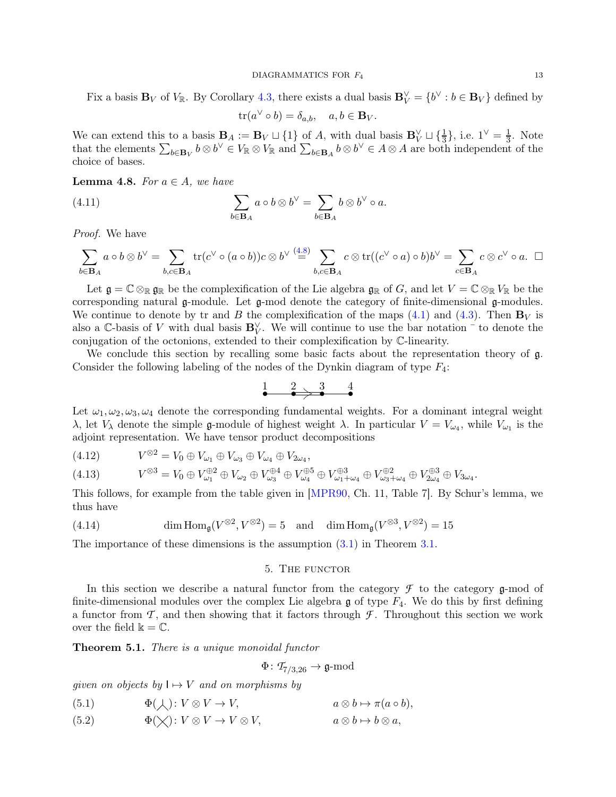Fix a basis  $\mathbf{B}_V$  of  $V_{\mathbb{R}}$ . By Corollary [4.3,](#page-10-2) there exists a dual basis  $\mathbf{B}_V^{\vee} = \{b^{\vee} : b \in \mathbf{B}_V\}$  defined by

<span id="page-12-2"></span>
$$
\operatorname{tr}(a^{\vee} \circ b) = \delta_{a,b}, \quad a, b \in \mathbf{B}_V.
$$

We can extend this to a basis  $\mathbf{B}_A := \mathbf{B}_V \sqcup \{1\}$  of A, with dual basis  $\mathbf{B}_V^{\vee} \sqcup \{\frac{1}{3}\}\)$ , i.e.  $1^{\vee} = \frac{1}{3}$  $\frac{1}{3}$ . Note that the elements  $\sum_{b\in \mathbf{B}_V} b\otimes b^{\vee} \in V_{\mathbb{R}} \otimes V_{\mathbb{R}}$  and  $\sum_{b\in \mathbf{B}_A} b\otimes b^{\vee} \in A \otimes A$  are both independent of the choice of bases.

**Lemma 4.8.** *For*  $a \in A$ *, we have* 

(4.11) 
$$
\sum_{b \in \mathbf{B}_A} a \circ b \otimes b^{\vee} = \sum_{b \in \mathbf{B}_A} b \otimes b^{\vee} \circ a.
$$

*Proof.* We have

$$
\sum_{b\in \mathbf{B}_A} a\circ b\otimes b^{\vee} = \sum_{b,c\in \mathbf{B}_A} \text{tr}(c^{\vee}\circ (a\circ b))c\otimes b^{\vee} \stackrel{(4.8)}{=} \sum_{b,c\in \mathbf{B}_A} c\otimes \text{tr}((c^{\vee}\circ a)\circ b)b^{\vee} = \sum_{c\in \mathbf{B}_A} c\otimes c^{\vee}\circ a. \quad \Box
$$

Let  $\mathfrak{g} = \mathbb{C} \otimes_{\mathbb{R}} \mathfrak{g}_{\mathbb{R}}$  be the complexification of the Lie algebra  $\mathfrak{g}_{\mathbb{R}}$  of G, and let  $V = \mathbb{C} \otimes_{\mathbb{R}} V_{\mathbb{R}}$  be the corresponding natural  $\mathfrak g$ -module. Let  $\mathfrak g$ -mod denote the category of finite-dimensional  $\mathfrak g$ -modules. We continue to denote by tr and B the complexification of the maps  $(4.1)$  and  $(4.3)$ . Then  $\mathbf{B}_V$  is also a  $\mathbb{C}$ -basis of V with dual basis  $\mathbf{B}_V^{\vee}$ . We will continue to use the bar notation  $\overline{\phantom{a}}$  to denote the conjugation of the octonions, extended to their complexification by C-linearity.

We conclude this section by recalling some basic facts about the representation theory of  $\mathfrak{g}$ . Consider the following labeling of the nodes of the Dynkin diagram of type  $F_4$ :

$$
\overset{1}{\bullet} \overset{2}{\longrightarrow} \overset{3}{\bullet} \overset{4}{\longrightarrow}
$$

Let  $\omega_1, \omega_2, \omega_3, \omega_4$  denote the corresponding fundamental weights. For a dominant integral weight λ, let  $V_{\lambda}$  denote the simple **g**-module of highest weight λ. In particular  $V = V_{\omega_4}$ , while  $V_{\omega_1}$  is the adjoint representation. We have tensor product decompositions

<span id="page-12-4"></span>(4.12)  $V^{\otimes 2} = V_0 \oplus V_{\omega_1} \oplus V_{\omega_3} \oplus V_{\omega_4} \oplus V_{2\omega_4},$ 

<span id="page-12-5"></span>
$$
(4.13) \tV^{\otimes 3} = V_0 \oplus V_{\omega_1}^{\oplus 2} \oplus V_{\omega_2} \oplus V_{\omega_3}^{\oplus 4} \oplus V_{\omega_4}^{\oplus 5} \oplus V_{\omega_1 + \omega_4}^{\oplus 3} \oplus V_{\omega_3 + \omega_4}^{\oplus 2} \oplus V_{2\omega_4}^{\oplus 3} \oplus V_{3\omega_4}.
$$

This follows, for example from the table given in [\[MPR90,](#page-19-14) Ch. 11, Table 7]. By Schur's lemma, we thus have

<span id="page-12-3"></span>(4.14) dim Hom<sub>$$
\mathfrak{g}(V^{\otimes 2}, V^{\otimes 2}) = 5
$$
 and dim Hom <sub>$\mathfrak{g}(V^{\otimes 3}, V^{\otimes 2}) = 15$</sub></sub> 

<span id="page-12-1"></span>The importance of these dimensions is the assumption [\(3.1\)](#page-5-7) in Theorem [3.1.](#page-5-0)

## 5. THE FUNCTOR

In this section we describe a natural functor from the category  $\mathcal F$  to the category  $\mathfrak g$ -mod of finite-dimensional modules over the complex Lie algebra  $\mathfrak g$  of type  $F_4$ . We do this by first defining a functor from  $\mathcal{T}$ , and then showing that it factors through  $\mathcal{F}$ . Throughout this section we work over the field  $\mathbb{k} = \mathbb{C}$ .

<span id="page-12-0"></span>Theorem 5.1. *There is a unique monoidal functor*

$$
\Phi\colon \mathcal{T}_{7/3,26}\to\mathfrak{g}\text{-}\mathrm{mod}
$$

*given on objects by*  $I \mapsto V$  *and on morphisms by* 

(5.1) 
$$
\Phi(\downarrow): V \otimes V \to V, \qquad a \otimes b \mapsto \pi(a \circ b),
$$

(5.2)  $\Phi(\times) : V \otimes V \to V \otimes V,$   $a \otimes b \mapsto b \otimes a,$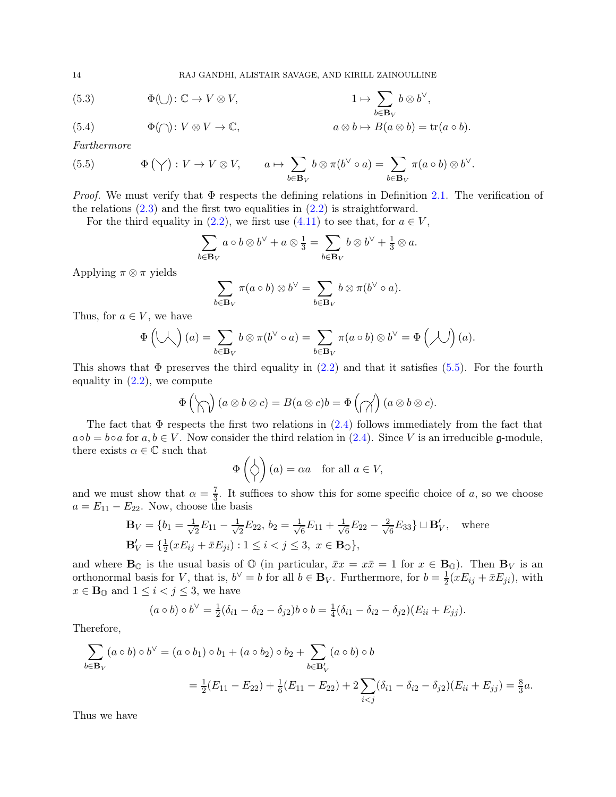14 RAJ GANDHI, ALISTAIR SAVAGE, AND KIRILL ZAINOULLINE

(5.3) 
$$
\Phi(\bigcup): \mathbb{C} \to V \otimes V, \qquad 1 \mapsto \sum_{b \in \mathbf{B}_V} b \otimes b^{\vee},
$$

(5.4) 
$$
\Phi(\cap): V \otimes V \to \mathbb{C}, \qquad a \otimes b \mapsto B(a \otimes b) = \text{tr}(a \circ b).
$$

*Furthermore*

<span id="page-13-0"></span>(5.5) 
$$
\Phi(\gamma): V \to V \otimes V, \qquad a \mapsto \sum_{b \in \mathbf{B}_V} b \otimes \pi(b^{\vee} \circ a) = \sum_{b \in \mathbf{B}_V} \pi(a \circ b) \otimes b^{\vee}.
$$

*Proof.* We must verify that  $\Phi$  respects the defining relations in Definition [2.1.](#page-2-1) The verification of the relations  $(2.3)$  and the first two equalities in  $(2.2)$  is straightforward.

For the third equality in [\(2.2\)](#page-2-3), we first use [\(4.11\)](#page-12-2) to see that, for  $a \in V$ ,

$$
\sum_{b\in \mathbf{B}_V} a\circ b\otimes b^{\vee} + a\otimes \frac{1}{3} = \sum_{b\in \mathbf{B}_V} b\otimes b^{\vee} + \frac{1}{3}\otimes a.
$$

Applying  $\pi \otimes \pi$  yields

$$
\sum_{b\in \mathbf{B}_V} \pi(a\circ b) \otimes b^{\vee} = \sum_{b\in \mathbf{B}_V} b \otimes \pi(b^{\vee}\circ a).
$$

Thus, for  $a \in V$ , we have

$$
\Phi\left(\bigcup\limits_{k\in\mathbf{B}_V}\right)(a)=\sum_{b\in\mathbf{B}_V}b\otimes\pi(b^{\vee}\circ a)=\sum_{b\in\mathbf{B}_V}\pi(a\circ b)\otimes b^{\vee}=\Phi\left(\bigwedge\limits_{k\in\mathbf{B}_V}\right)(a).
$$

This shows that  $\Phi$  preserves the third equality in [\(2.2\)](#page-2-3) and that it satisfies [\(5.5\)](#page-13-0). For the fourth equality in  $(2.2)$ , we compute

$$
\Phi\left(\bigwedge\right)\left(a\otimes b\otimes c\right)=B(a\otimes c)b=\Phi\left(\bigwedge\right)\left(a\otimes b\otimes c\right).
$$

The fact that  $\Phi$  respects the first two relations in [\(2.4\)](#page-2-4) follows immediately from the fact that  $a \circ b = b \circ a$  for  $a, b \in V$ . Now consider the third relation in [\(2.4\)](#page-2-4). Since V is an irreducible g-module, there exists  $\alpha \in \mathbb{C}$  such that

$$
\Phi\left(\bigdiamondsuit\right)(a) = \alpha a \quad \text{for all } a \in V,
$$

and we must show that  $\alpha = \frac{7}{3}$  $\frac{7}{3}$ . It suffices to show this for some specific choice of a, so we choose  $a = E_{11} - E_{22}$ . Now, choose the basis

$$
\mathbf{B}_V = \{b_1 = \frac{1}{\sqrt{2}} E_{11} - \frac{1}{\sqrt{2}} E_{22}, b_2 = \frac{1}{\sqrt{6}} E_{11} + \frac{1}{\sqrt{6}} E_{22} - \frac{2}{\sqrt{6}} E_{33} \} \sqcup \mathbf{B}'_V, \text{ where}
$$
  

$$
\mathbf{B}'_V = \{ \frac{1}{2} (x E_{ij} + \bar{x} E_{ji}) : 1 \le i < j \le 3, x \in \mathbf{B}_0 \},
$$

and where  $\mathbf{B}_{\mathbb{O}}$  is the usual basis of  $\mathbb{O}$  (in particular,  $\bar{x}x = x\bar{x} = 1$  for  $x \in \mathbf{B}_{\mathbb{O}}$ ). Then  $\mathbf{B}_{V}$  is an orthonormal basis for V, that is,  $b^{\vee} = b$  for all  $b \in \mathbf{B}_V$ . Furthermore, for  $b = \frac{1}{2}$  $\frac{1}{2}(xE_{ij} + \bar{x}E_{ji})$ , with  $x \in \mathbf{B}_{\mathbb{O}}$  and  $1 \leq i < j \leq 3$ , we have

$$
(a \circ b) \circ b^{\vee} = \frac{1}{2}(\delta_{i1} - \delta_{i2} - \delta_{j2})b \circ b = \frac{1}{4}(\delta_{i1} - \delta_{i2} - \delta_{j2})(E_{ii} + E_{jj}).
$$

Therefore,

$$
\sum_{b \in \mathbf{B}_V} (a \circ b) \circ b^{\vee} = (a \circ b_1) \circ b_1 + (a \circ b_2) \circ b_2 + \sum_{b \in \mathbf{B}'_V} (a \circ b) \circ b
$$
  
=  $\frac{1}{2} (E_{11} - E_{22}) + \frac{1}{6} (E_{11} - E_{22}) + 2 \sum_{i < j} (\delta_{i1} - \delta_{i2} - \delta_{j2}) (E_{ii} + E_{jj}) = \frac{8}{3} a.$ 

Thus we have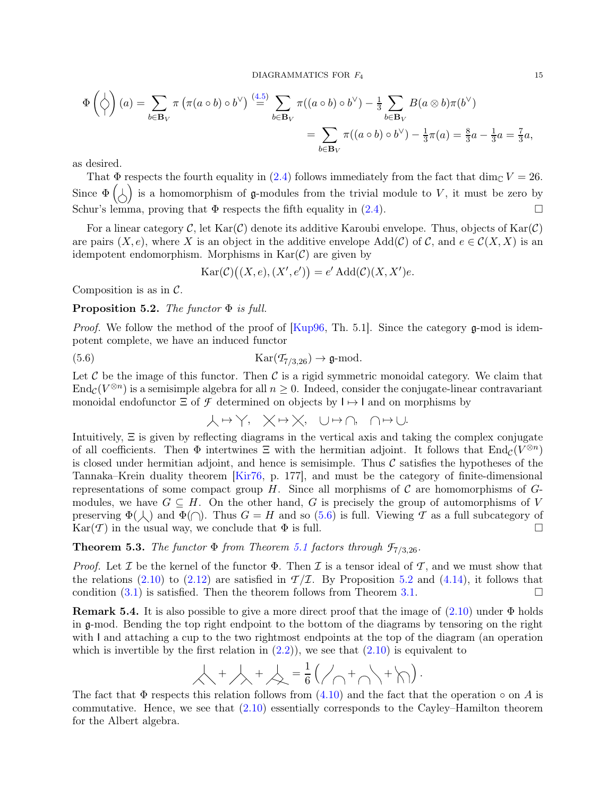$DIAGRAMMATICS FOR$   $F_4$  15

$$
\Phi\left(\bigwedge\limits^{\prime}\right)(a) = \sum_{b \in \mathbf{B}_V} \pi\left(\pi(a \circ b) \circ b^{\vee}\right) \stackrel{(4.5)}{=} \sum_{b \in \mathbf{B}_V} \pi((a \circ b) \circ b^{\vee}) - \frac{1}{3} \sum_{b \in \mathbf{B}_V} B(a \otimes b)\pi(b^{\vee})
$$

$$
= \sum_{b \in \mathbf{B}_V} \pi((a \circ b) \circ b^{\vee}) - \frac{1}{3}\pi(a) = \frac{8}{3}a - \frac{1}{3}a = \frac{7}{3}a,
$$

as desired.

That  $\Phi$  respects the fourth equality in [\(2.4\)](#page-2-4) follows immediately from the fact that dim<sub>C</sub>  $V = 26$ . Since  $\Phi(\bigtriangleup)$  is a homomorphism of g-modules from the trivial module to V, it must be zero by Schur's lemma, proving that  $\Phi$  respects the fifth equality in [\(2.4\)](#page-2-4).

For a linear category C, let  $\text{Kar}(\mathcal{C})$  denote its additive Karoubi envelope. Thus, objects of  $\text{Kar}(\mathcal{C})$ are pairs  $(X, e)$ , where X is an object in the additive envelope Add(C) of C, and  $e \in C(X, X)$  is an idempotent endomorphism. Morphisms in  $\text{Kar}(\mathcal{C})$  are given by

$$
Kar(\mathcal{C})((X, e), (X', e')) = e' \text{Add}(\mathcal{C})(X, X')e.
$$

<span id="page-14-3"></span>Composition is as in  $\mathcal{C}$ .

Proposition 5.2. *The functor* Φ *is full.*

*Proof.* We follow the method of the proof of [\[Kup96,](#page-19-3) Th. 5.1]. Since the category g-mod is idempotent complete, we have an induced functor

(5.6) 
$$
Kar(\mathcal{T}_{7/3,26}) \to \mathfrak{g}\text{-mod}.
$$

Let  $C$  be the image of this functor. Then  $C$  is a rigid symmetric monoidal category. We claim that End $c(V^{\otimes n})$  is a semisimple algebra for all  $n \geq 0$ . Indeed, consider the conjugate-linear contravariant monoidal endofunctor  $\Xi$  of  $\mathcal F$  determined on objects by  $I \mapsto I$  and on morphisms by

<span id="page-14-2"></span> $X \mapsto Y, \quad X \mapsto X, \quad \bigcup \mapsto \bigcap, \quad \bigcap \mapsto \bigcup.$ 

Intuitively, Ξ is given by reflecting diagrams in the vertical axis and taking the complex conjugate of all coefficients. Then  $\Phi$  intertwines  $\Xi$  with the hermitian adjoint. It follows that  $\text{End}_{\mathcal{C}}(V^{\otimes n})$ is closed under hermitian adjoint, and hence is semisimple. Thus  $\mathcal C$  satisfies the hypotheses of the Tannaka–Krein duality theorem [\[Kir76,](#page-19-15) p. 177], and must be the category of finite-dimensional representations of some compact group  $H$ . Since all morphisms of  $\mathcal C$  are homomorphisms of  $G$ modules, we have  $G \subseteq H$ . On the other hand, G is precisely the group of automorphisms of V preserving  $\Phi(\lambda)$  and  $\Phi(\cap)$ . Thus  $G = H$  and so [\(5.6\)](#page-14-2) is full. Viewing T as a full subcategory of  $\text{Kar}(\mathcal{T})$  in the usual way, we conclude that  $\Phi$  is full.

# <span id="page-14-0"></span>**Theorem 5.3.** *The functor*  $\Phi$  *from Theorem [5.1](#page-12-0) factors through*  $\mathcal{F}_{7/3,26}$ *.*

*Proof.* Let  $\mathcal I$  be the kernel of the functor  $\Phi$ . Then  $\mathcal I$  is a tensor ideal of  $\mathcal T$ , and we must show that the relations [\(2.10\)](#page-4-1) to [\(2.12\)](#page-4-2) are satisfied in  $\mathcal{T}/\mathcal{I}$ . By Proposition [5.2](#page-14-3) and [\(4.14\)](#page-12-3), it follows that condition  $(3.1)$  is satisfied. Then the theorem follows from Theorem [3.1.](#page-5-0)

<span id="page-14-1"></span>**Remark 5.4.** It is also possible to give a more direct proof that the image of  $(2.10)$  under  $\Phi$  holds in g-mod. Bending the top right endpoint to the bottom of the diagrams by tensoring on the right with I and attaching a cup to the two rightmost endpoints at the top of the diagram (an operation which is invertible by the first relation in  $(2.2)$ ), we see that  $(2.10)$  is equivalent to

+ + = 1 6 + + .

The fact that  $\Phi$  respects this relation follows from [\(4.10\)](#page-11-1) and the fact that the operation  $\circ$  on A is commutative. Hence, we see that [\(2.10\)](#page-4-1) essentially corresponds to the Cayley–Hamilton theorem for the Albert algebra.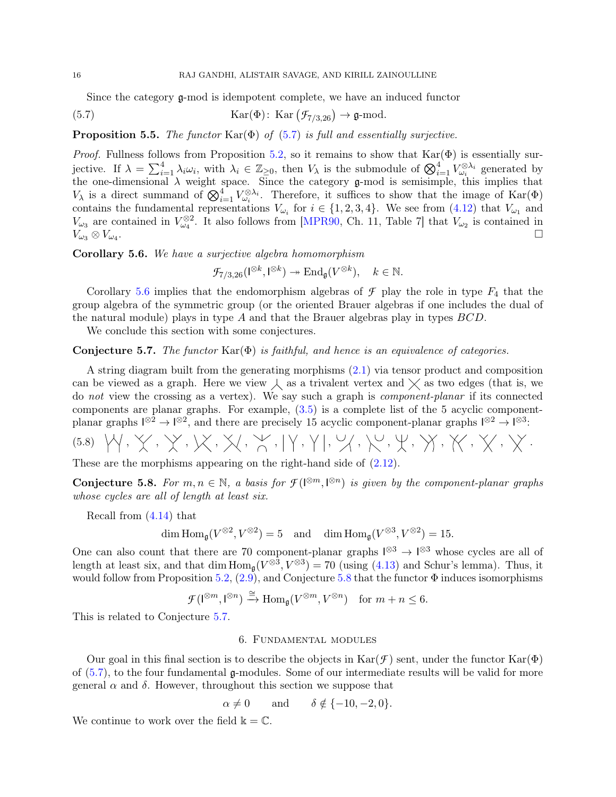<span id="page-15-4"></span>Since the category g-mod is idempotent complete, we have an induced functor

<span id="page-15-0"></span>(5.7) 
$$
Kar(\Phi): Kar(\mathcal{F}_{7/3,26}) \to \mathfrak{g}\text{-mod}.
$$

Proposition 5.5. *The functor* Kar(Φ) *of* [\(5.7\)](#page-15-4) *is full and essentially surjective.*

*Proof.* Fullness follows from Proposition [5.2,](#page-14-3) so it remains to show that  $\text{Kar}(\Phi)$  is essentially surjective. If  $\lambda = \sum_{i=1}^4 \lambda_i \omega_i$ , with  $\lambda_i \in \mathbb{Z}_{\geq 0}$ , then  $V_\lambda$  is the submodule of  $\bigotimes_{i=1}^4 V_{\omega_i}^{\otimes \lambda_i}$  generated by the one-dimensional  $\lambda$  weight space. Since the category  $\mathfrak{g}\text{-mod}$  is semisimple, this implies that  $V_{\lambda}$  is a direct summand of  $\bigotimes_{i=1}^{4} V_{\omega_i}^{\otimes \lambda_i}$ . Therefore, it suffices to show that the image of Kar $(\Phi)$ contains the fundamental representations  $V_{\omega_i}$  for  $i \in \{1,2,3,4\}$ . We see from  $(4.12)$  that  $V_{\omega_1}$  and  $V_{\omega_3}$  are contained in  $V_{\omega_4}^{\otimes 2}$ . It also follows from [\[MPR90,](#page-19-14) Ch. 11, Table 7] that  $V_{\omega_2}$  is contained in  $V_{\omega_3}\otimes V_{\omega_4}.$  $\mathbb{Z}_4$  . The contract of the contract of the contract of the contract of the contract of the contract of the contract of the contract of the contract of the contract of the contract of the contract of the contract of t

<span id="page-15-2"></span>Corollary 5.6. *We have a surjective algebra homomorphism*

 $\mathcal{F}_{7/3,26}(\mathsf{I}^{\otimes k},\mathsf{I}^{\otimes k}) \twoheadrightarrow \text{End}_{\mathfrak{g}}(V^{\otimes k}), \quad k \in \mathbb{N}.$ 

Corollary [5.6](#page-15-2) implies that the endomorphism algebras of  $\mathcal F$  play the role in type  $F_4$  that the group algebra of the symmetric group (or the oriented Brauer algebras if one includes the dual of the natural module) plays in type A and that the Brauer algebras play in types BCD.

<span id="page-15-5"></span>We conclude this section with some conjectures.

## Conjecture 5.7. *The functor* Kar(Φ) *is faithful, and hence is an equivalence of categories.*

A string diagram built from the generating morphisms [\(2.1\)](#page-2-6) via tensor product and composition can be viewed as a graph. Here we view  $\lambda$  as a trivalent vertex and  $\times$  as two edges (that is, we do *not* view the crossing as a vertex). We say such a graph is *component-planar* if its connected components are planar graphs. For example, [\(3.5\)](#page-5-5) is a complete list of the 5 acyclic componentplanar graphs  $\mathbb{R}^{\otimes 2} \to \mathbb{R}^{\otimes 2}$ , and there are precisely 15 acyclic component-planar graphs  $\mathbb{R}^{\otimes 2} \to \mathbb{R}^{\otimes 3}$ .

<span id="page-15-6"></span>(5.8) , , , , , , , , , , , , , , .

<span id="page-15-1"></span>These are the morphisms appearing on the right-hand side of [\(2.12\)](#page-4-2).

Conjecture 5.8. For  $m, n \in \mathbb{N}$ , a basis for  $\mathcal{F}(\mathbb{I}^{\otimes m}, \mathbb{I}^{\otimes n})$  is given by the component-planar graphs *whose cycles are all of length at least six.*

Recall from [\(4.14\)](#page-12-3) that

$$
\dim \operatorname{Hom}_{\mathfrak g}(V^{\otimes 2},V^{\otimes 2})=5 \quad \text{and} \quad \dim \operatorname{Hom}_{\mathfrak g}(V^{\otimes 3},V^{\otimes 2})=15.
$$

One can also count that there are 70 component-planar graphs  $\mathbb{R}^3 \to \mathbb{R}^3$  whose cycles are all of length at least six, and that dim  $\text{Hom}_{\mathfrak{g}}(V^{\otimes 3}, V^{\otimes 3}) = 70$  (using [\(4.13\)](#page-12-5) and Schur's lemma). Thus, it would follow from Proposition [5.2,](#page-14-3)  $(2.9)$ , and Conjecture [5.8](#page-15-1) that the functor  $\Phi$  induces isomorphisms

$$
\mathcal{F}(\mathbf{l}^{\otimes m}, \mathbf{l}^{\otimes n}) \xrightarrow{\cong} \text{Hom}_{\mathfrak{g}}(V^{\otimes m}, V^{\otimes n}) \quad \text{for } m+n \leq 6.
$$

<span id="page-15-3"></span>This is related to Conjecture [5.7.](#page-15-5)

### 6. Fundamental modules

Our goal in this final section is to describe the objects in  $\text{Kar}(\mathcal{F})$  sent, under the functor  $\text{Kar}(\Phi)$ of [\(5.7\)](#page-15-4), to the four fundamental g-modules. Some of our intermediate results will be valid for more general  $\alpha$  and  $\delta$ . However, throughout this section we suppose that

$$
\alpha \neq 0
$$
 and  $\delta \notin \{-10, -2, 0\}.$ 

We continue to work over the field  $\mathbb{k} = \mathbb{C}$ .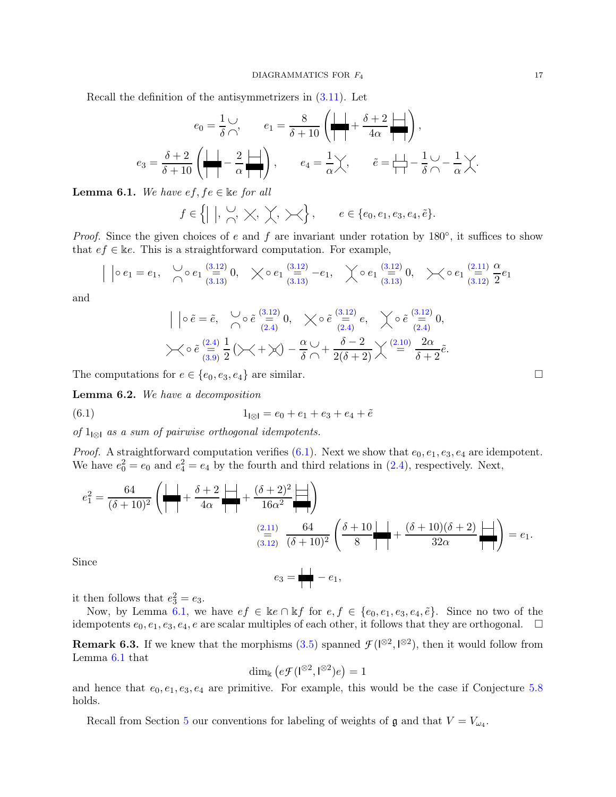Recall the definition of the antisymmetrizers in [\(3.11\)](#page-7-6). Let

$$
e_0 = \frac{1}{\delta} \bigcup_{\substack{\bigwedge \\ \hline \delta + 10}} \left( \frac{1}{\left| \uparrow \right|} + \frac{\delta + 2}{4\alpha} \bigg| \frac{1}{\left| \uparrow \right|} \right),
$$
  

$$
e_3 = \frac{\delta + 2}{\delta + 10} \left( \bigg| \bigg| \bigg| - \frac{2}{\alpha} \bigg| \bigg| \bigg| \right), \qquad e_4 = \frac{1}{\alpha} \bigg\bigg\langle, \qquad \tilde{e} = \bigg| \bigg| \bigg| - \frac{1}{\delta} \bigg\langle -\frac{1}{\alpha} \bigg\rangle \bigg\langle.
$$

<span id="page-16-1"></span>**Lemma 6.1.** We have  $ef, fe \in \mathbb{k}$ e for all

$$
f \in \left\{ \mid \mid, \sim, \times, \times, \times \right\}, \qquad e \in \{e_0, e_1, e_3, e_4, \tilde{e}\}.
$$

*Proof.* Since the given choices of e and f are invariant under rotation by  $180^\circ$ , it suffices to show that  $ef \in \mathbb{K}e$ . This is a straightforward computation. For example,

$$
\Big|\bigcirc e_1 = e_1, \quad \bigcirc_{0} \circ e_1 \stackrel{(3.12)}{=} 0, \quad \bigtimes \circ e_1 \stackrel{(3.12)}{=} -e_1, \quad \bigtimes \circ e_1 \stackrel{(3.12)}{=} 0, \quad \bigtimes \circ e_1 \stackrel{(2.11)}{=} \frac{\alpha}{(3.12)} e_1
$$

and

<span id="page-16-0"></span>
$$
\begin{aligned}\n& \mid \big| \circ \tilde{e} = \tilde{e}, \quad \bigcap_{(2,4)} \circ \tilde{e} \stackrel{(3.12)}{=} 0, \\
& \searrow \circ \tilde{e} \stackrel{(3.12)}{=} e, \\
& \searrow \circ \tilde{e} \stackrel{(3.12)}{=} 0, \\
& \searrow \circ \tilde{e} \stackrel{(3.12)}{=} \frac{1}{2} \left( \searrow \left( \times + \right) \right) - \frac{\alpha}{\delta} \bigcup_{(2,4)} \left( \frac{\delta - 2}{2(\delta + 2)} \right) \\
& \searrow \frac{\alpha - 2}{2(\delta + 2)} \bigcup_{(2,4)} \frac{2\alpha}{\delta + 2} \tilde{e}.\n\end{aligned}
$$

<span id="page-16-2"></span>The computations for  $e \in \{e_0, e_3, e_4\}$  are similar.

Lemma 6.2. *We have a decomposition*

(6.1) 
$$
1_{|\otimes|} = e_0 + e_1 + e_3 + e_4 + \tilde{e}
$$

*of* 1<sub>*I*⊗*I as a sum of pairwise orthogonal idempotents.*</sub>

*Proof.* A straightforward computation verifies  $(6.1)$ . Next we show that  $e_0, e_1, e_3, e_4$  are idempotent. We have  $e_0^2 = e_0$  and  $e_4^2 = e_4$  by the fourth and third relations in [\(2.4\)](#page-2-4), respectively. Next,

$$
e_1^2 = \frac{64}{(\delta+10)^2} \left( \frac{\left| \left| \left| \left| + \frac{\delta+2}{4\alpha} \right| \right| \right| + \frac{(\delta+2)^2}{16\alpha^2} \right|}{\frac{2}{(3.12)} \frac{64}{(\delta+10)^2}} \right)
$$
\n
$$
\xrightarrow{\text{(2.11)}} \frac{64}{(\delta+10)^2} \left( \frac{\delta+10}{8} \right) + \frac{(\delta+10)(\delta+2)}{32\alpha} \right) = e_1.
$$
\nSince\n
$$
e_3 = \frac{\left| \left| \left| -e_1 \right| \right|}{\left| -e_1 \right|}.
$$

Si

it then follows that  $e_3^2 = e_3$ .

Now, by Lemma [6.1,](#page-16-1) we have  $ef \in \mathbb{k}e \cap \mathbb{k}f$  for  $e, f \in \{e_0, e_1, e_3, e_4, \tilde{e}\}$ . Since no two of the idempotents  $e_0, e_1, e_3, e_4, e$  are scalar multiples of each other, it follows that they are orthogonal.  $\Box$ 

**Remark 6.3.** If we knew that the morphisms  $(3.5)$  spanned  $\mathcal{F}(\mathbb{R}^2, \mathbb{R}^2)$ , then it would follow from Lemma [6.1](#page-16-1) that

$$
\dim_{\mathbb{k}}\left(e\mathcal{F}(\mathsf{I}^{\otimes 2}, \mathsf{I}^{\otimes 2})e\right) = 1
$$

and hence that  $e_0, e_1, e_3, e_4$  are primitive. For example, this would be the case if Conjecture [5.8](#page-15-1) holds.

<span id="page-16-3"></span>Recall from Section [5](#page-12-1) our conventions for labeling of weights of  $\mathfrak g$  and that  $V = V_{\omega_4}$ .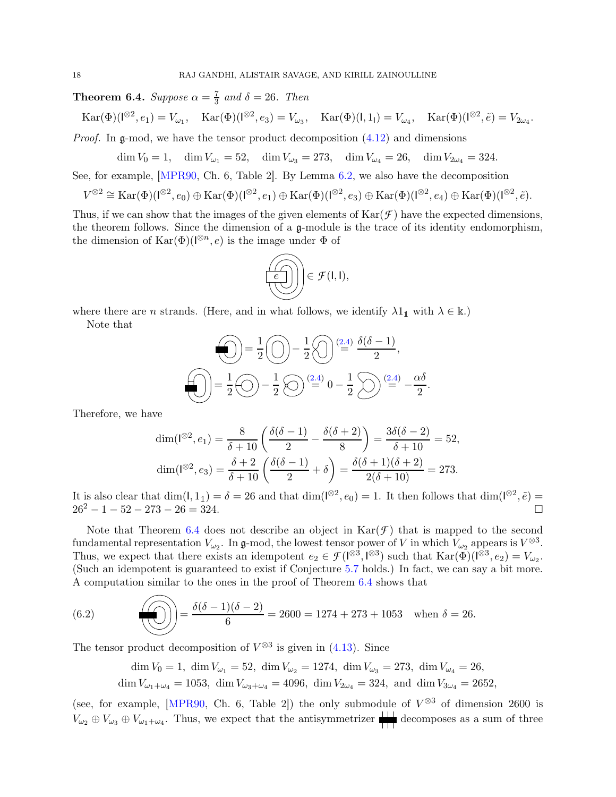**Theorem 6.4.** *Suppose*  $\alpha = \frac{7}{3}$  $rac{7}{3}$  and  $\delta = 26$ . Then

$$
\operatorname{Kar}(\Phi)(\mathsf{I}^{\otimes 2}, e_1) = V_{\omega_1}, \quad \operatorname{Kar}(\Phi)(\mathsf{I}^{\otimes 2}, e_3) = V_{\omega_3}, \quad \operatorname{Kar}(\Phi)(\mathsf{I}, 1_{\mathsf{I}}) = V_{\omega_4}, \quad \operatorname{Kar}(\Phi)(\mathsf{I}^{\otimes 2}, \tilde{e}) = V_{2\omega_4}.
$$

*Proof.* In g-mod, we have the tensor product decomposition [\(4.12\)](#page-12-4) and dimensions

 $\dim V_0 = 1$ ,  $\dim V_{\omega_1} = 52$ ,  $\dim V_{\omega_3} = 273$ ,  $\dim V_{\omega_4} = 26$ ,  $\dim V_{2\omega_4} = 324$ .

See, for example, [\[MPR90,](#page-19-14) Ch. 6, Table 2]. By Lemma [6.2,](#page-16-2) we also have the decomposition

$$
V^{\otimes 2} \cong \text{Kar}(\Phi)(I^{\otimes 2}, e_0) \oplus \text{Kar}(\Phi)(I^{\otimes 2}, e_1) \oplus \text{Kar}(\Phi)(I^{\otimes 2}, e_3) \oplus \text{Kar}(\Phi)(I^{\otimes 2}, e_4) \oplus \text{Kar}(\Phi)(I^{\otimes 2}, \tilde{e}).
$$

Thus, if we can show that the images of the given elements of  $\text{Kar}(\mathcal{F})$  have the expected dimensions, the theorem follows. Since the dimension of a  $\mathfrak{g}\text{-module}$  is the trace of its identity endomorphism, the dimension of  $\text{Kar}(\Phi)(\mathbb{I}^{\otimes n}, e)$  is the image under  $\Phi$  of



where there are *n* strands. (Here, and in what follows, we identify  $\lambda 1_1$  with  $\lambda \in \mathbb{k}$ .) Note that

$$
\begin{aligned}\n\begin{pmatrix}\n\mathbf{0} \\
\mathbf{0}\n\end{pmatrix} &= \frac{1}{2} \begin{pmatrix}\n\mathbf{0} \\
-\frac{1}{2} \begin{pmatrix}\n\mathbf{0} \\
\mathbf{0}\n\end{pmatrix} \stackrel{(2.4)}{=} \frac{\delta(\delta - 1)}{2}, \\
\mathbf{0} &= \frac{1}{2} \begin{pmatrix}\n\mathbf{0} \\
-\frac{1}{2} \end{pmatrix} \begin{pmatrix}\n\mathbf{0} \\
\mathbf{0}\n\end{pmatrix} \stackrel{(2.4)}{=} -\frac{\delta}{2}\n\end{aligned}
$$

.

Therefore, we have

$$
\dim(\mathfrak{l}^{\otimes 2}, e_1) = \frac{8}{\delta + 10} \left( \frac{\delta(\delta - 1)}{2} - \frac{\delta(\delta + 2)}{8} \right) = \frac{3\delta(\delta - 2)}{\delta + 10} = 52,
$$
  

$$
\dim(\mathfrak{l}^{\otimes 2}, e_3) = \frac{\delta + 2}{\delta + 10} \left( \frac{\delta(\delta - 1)}{2} + \delta \right) = \frac{\delta(\delta + 1)(\delta + 2)}{2(\delta + 10)} = 273.
$$

It is also clear that  $\dim(I, 1_1) = \delta = 26$  and that  $\dim(I^{\otimes 2}, e_0) = 1$ . It then follows that  $\dim(I^{\otimes 2}, \tilde{e}) =$  $26^2 - 1 - 52 - 273 - 26 = 324.$ 

Note that Theorem [6.4](#page-16-3) does not describe an object in  $\text{Kar}(\mathcal{F})$  that is mapped to the second fundamental representation  $V_{\omega_2}$ . In g-mod, the lowest tensor power of V in which  $V_{\omega_2}$  appears is  $V^{\otimes 3}$ . Thus, we expect that there exists an idempotent  $e_2 \in \mathcal{F}(\mathbb{R}^3, \mathbb{R}^3)$  such that  $\text{Kar}(\Phi)(\mathbb{R}^3, e_2) = V_{\omega_2}$ . (Such an idempotent is guaranteed to exist if Conjecture [5.7](#page-15-5) holds.) In fact, we can say a bit more. A computation similar to the ones in the proof of Theorem [6.4](#page-16-3) shows that

(6.2) 
$$
\left(\bigodot\right) = \frac{\delta(\delta - 1)(\delta - 2)}{6} = 2600 = 1274 + 273 + 1053 \quad \text{when } \delta = 26.
$$

The tensor product decomposition of  $V^{\otimes 3}$  is given in [\(4.13\)](#page-12-5). Since

$$
\dim V_0 = 1, \ \dim V_{\omega_1} = 52, \ \dim V_{\omega_2} = 1274, \ \dim V_{\omega_3} = 273, \ \dim V_{\omega_4} = 26, \dim V_{\omega_1 + \omega_4} = 1053, \ \dim V_{\omega_3 + \omega_4} = 4096, \ \dim V_{2\omega_4} = 324, \ \text{and} \ \dim V_{3\omega_4} = 2652,
$$

(see, for example, [\[MPR90,](#page-19-14) Ch. 6, Table 2]) the only submodule of  $V^{\otimes 3}$  of dimension 2600 is  $V_{\omega_2} \oplus V_{\omega_3} \oplus V_{\omega_1+\omega_4}$ . Thus, we expect that the antisymmetrizer  $\Box$  decomposes as a sum of three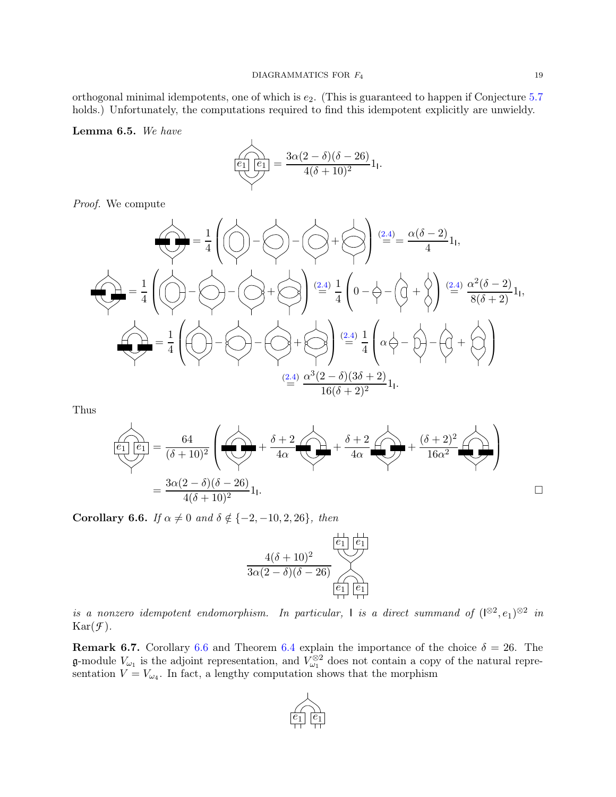orthogonal minimal idempotents, one of which is  $e_2$ . (This is guaranteed to happen if Conjecture [5.7](#page-15-5)) holds.) Unfortunately, the computations required to find this idempotent explicitly are unwieldy.

Lemma 6.5. *We have*

$$
\underbrace{e_1}_{\ell_1} \underbrace{e_1}_{\ell_2} = \frac{3\alpha(2-\delta)(\delta-26)}{4(\delta+10)^2} 1_{\mathsf{I}}.
$$

 $\overline{1}$ 

 $\overline{\phantom{a}}$ 

*Proof.* We compute

$$
\begin{pmatrix}\n\vdots \\
\downarrow\n\end{pmatrix} = \frac{1}{4} \left( \begin{pmatrix} 1 & 0 & 0 \\
0 & -1 & 0 \\
0 & 0 & 0\n\end{pmatrix} + \begin{pmatrix} 1 & 0 & 0 \\
0 & -1 & 0 \\
0 & 0 & 0\n\end{pmatrix} \right) \stackrel{(2.4)}{=} \frac{1}{4} \left( 0 - \frac{1}{4} - \left( \frac{1}{4} + \frac{1}{4} \right) \right) \stackrel{(2.4)}{=} \frac{\alpha(3-2)}{8(3+2)} 1_1, \\
\downarrow\n\end{pmatrix}
$$
\n
$$
= \frac{1}{4} \left( \begin{pmatrix} 1 & 0 & 0 \\
0 & -1 & 0 \\
0 & 0 & 0\n\end{pmatrix} + \begin{pmatrix} 2.4 & 1 \\
0 & \frac{1}{4} & 0 \\
0 & \frac{1}{4} & 0\n\end{pmatrix} \stackrel{(2.4)}{=} \frac{1}{4} \left( \alpha \left( \frac{1}{4} - \frac{1}{4} \right) - \left( \frac{1}{4} + \frac{1}{4} \right) \right)
$$
\n
$$
\stackrel{(2.4)}{=} \frac{\alpha^3 (2-6)(3\delta + 2)}{16(\delta + 2)^2} 1_1.
$$

Thus

 $\sqrt{ }$ 

$$
\frac{\delta_1}{\delta_1} = \frac{64}{(\delta + 10)^2} \left( \frac{\delta + 2}{4\alpha} + \frac{\delta + 2}{4\alpha} + \frac{\delta + 2}{4\alpha} + \frac{(\delta + 2)^2}{16\alpha^2} + \frac{(\delta + 2)^2}{16\alpha^2} \right)
$$

$$
= \frac{3\alpha(2 - \delta)(\delta - 26)}{4(\delta + 10)^2} 1_{\mathsf{I}}.
$$

<span id="page-18-1"></span>**Corollary 6.6.** *If*  $\alpha \neq 0$  *and*  $\delta \notin \{-2, -10, 2, 26\}$ *, then* 



*is a nonzero idempotent endomorphism.* In particular,  $\vert$  *is a direct summand of*  $(\vert {}^{\otimes 2}, e_1 \rangle {}^{\otimes 2}$  *in*  $\text{Kar}(\mathcal{F})$ .

<span id="page-18-0"></span>**Remark 6.7.** Corollary [6.6](#page-18-1) and Theorem [6.4](#page-16-3) explain the importance of the choice  $\delta = 26$ . The g-module  $V_{\omega_1}$  is the adjoint representation, and  $V_{\omega_1}^{\otimes 2}$  does not contain a copy of the natural representation  $V = V_{\omega_4}$ . In fact, a lengthy computation shows that the morphism

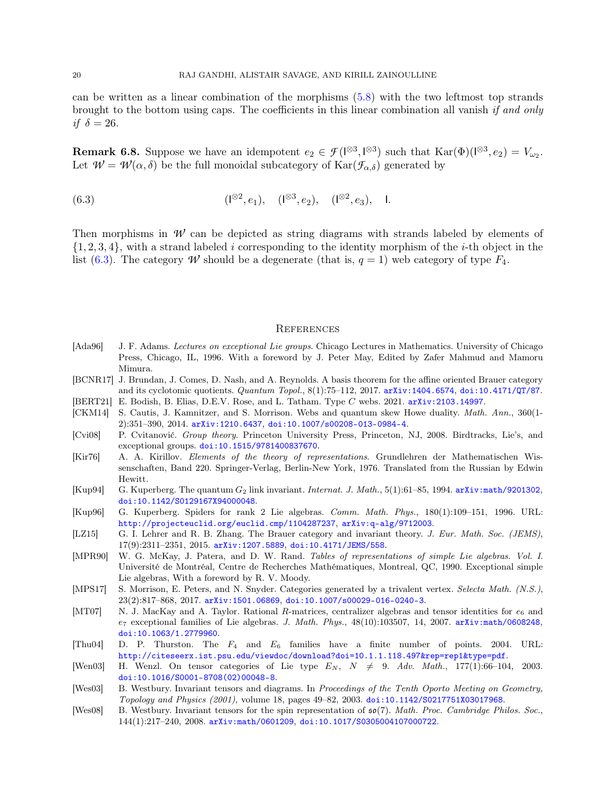can be written as a linear combination of the morphisms [\(5.8\)](#page-15-6) with the two leftmost top strands brought to the bottom using caps. The coefficients in this linear combination all vanish *if and only if*  $\delta = 26$ .

**Remark 6.8.** Suppose we have an idempotent  $e_2 \in \mathcal{F}(1^{\otimes 3}, 1^{\otimes 3})$  such that  $\text{Kar}(\Phi)(1^{\otimes 3}, e_2) = V_{\omega_2}$ . Let  $\mathcal{W} = \mathcal{W}(\alpha, \delta)$  be the full monoidal subcategory of  $\text{Kar}(\mathcal{F}_{\alpha,\delta})$  generated by

(6.3) 
$$
(1^{\otimes 2}, e_1), (1^{\otimes 3}, e_2), (1^{\otimes 2}, e_3), 1.
$$

Then morphisms in  $W$  can be depicted as string diagrams with strands labeled by elements of  $\{1, 2, 3, 4\}$ , with a strand labeled i corresponding to the identity morphism of the i-th object in the list [\(6.3\)](#page-19-16). The category W should be a degenerate (that is,  $q = 1$ ) web category of type  $F_4$ .

#### <span id="page-19-16"></span>**REFERENCES**

- <span id="page-19-13"></span>[Ada96] J. F. Adams. Lectures on exceptional Lie groups. Chicago Lectures in Mathematics. University of Chicago Press, Chicago, IL, 1996. With a foreword by J. Peter May, Edited by Zafer Mahmud and Mamoru Mimura.
- <span id="page-19-0"></span>[BCNR17] J. Brundan, J. Comes, D. Nash, and A. Reynolds. A basis theorem for the affine oriented Brauer category and its cyclotomic quotients.  $Quantum Topol., 8(1): 75–112, 2017. arXiv: 1404.6574, doi:10.4171/qT/87.$
- <span id="page-19-10"></span>[BERT21] E. Bodish, B. Elias, D.E.V. Rose, and L. Tatham. Type C webs. 2021. [arXiv:2103.14997](http://arxiv.org/abs/2103.14997).
- <span id="page-19-9"></span>[CKM14] S. Cautis, J. Kamnitzer, and S. Morrison. Webs and quantum skew Howe duality. Math. Ann., 360(1- 2):351–390, 2014. [arXiv:1210.6437](http://arxiv.org/abs/1210.6437), [doi:10.1007/s00208-013-0984-4](https://doi.org/10.1007/s00208-013-0984-4).
- <span id="page-19-4"></span>[Cvi08] P. Cvitanović. Group theory. Princeton University Press, Princeton, NJ, 2008. Birdtracks, Lie's, and exceptional groups. [doi:10.1515/9781400837670](https://doi.org/10.1515/9781400837670).
- <span id="page-19-15"></span>[Kir76] A. A. Kirillov. Elements of the theory of representations. Grundlehren der Mathematischen Wissenschaften, Band 220. Springer-Verlag, Berlin-New York, 1976. Translated from the Russian by Edwin Hewitt.
- <span id="page-19-2"></span>[Kup94] G. Kuperberg. The quantum  $G_2$  link invariant. Internat. J. Math., 5(1):61–85, 1994. [arXiv:math/9201302](http://arxiv.org/abs/math/9201302), [doi:10.1142/S0129167X94000048](https://doi.org/10.1142/S0129167X94000048).
- <span id="page-19-3"></span>[Kup96] G. Kuperberg. Spiders for rank 2 Lie algebras. Comm. Math. Phys., 180(1):109–151, 1996. URL: <http://projecteuclid.org/euclid.cmp/1104287237>, [arXiv:q-alg/9712003](http://arxiv.org/abs/q-alg/9712003).
- <span id="page-19-1"></span>[LZ15] G. I. Lehrer and R. B. Zhang. The Brauer category and invariant theory. J. Eur. Math. Soc. (JEMS), 17(9):2311–2351, 2015. [arXiv:1207.5889](http://arxiv.org/abs/1207.5889), [doi:10.4171/JEMS/558](https://doi.org/10.4171/JEMS/558).
- <span id="page-19-14"></span>[MPR90] W. G. McKay, J. Patera, and D. W. Rand. Tables of representations of simple Lie algebras. Vol. I. Université de Montréal, Centre de Recherches Mathématiques, Montreal, QC, 1990. Exceptional simple Lie algebras, With a foreword by R. V. Moody.
- <span id="page-19-12"></span>[MPS17] S. Morrison, E. Peters, and N. Snyder. Categories generated by a trivalent vertex. Selecta Math. (N.S.), 23(2):817–868, 2017. [arXiv:1501.06869](http://arxiv.org/abs/1501.06869), [doi:10.1007/s00029-016-0240-3](https://doi.org/10.1007/s00029-016-0240-3).
- <span id="page-19-5"></span>[MT07] N. J. MacKay and A. Taylor. Rational R-matrices, centralizer algebras and tensor identities for  $e_6$  and  $e_7$  exceptional families of Lie algebras. J. Math. Phys.,  $48(10):103507$ , 14, 2007. [arXiv:math/0608248](http://arxiv.org/abs/math/0608248), [doi:10.1063/1.2779960](https://doi.org/10.1063/1.2779960).
- <span id="page-19-8"></span>[Thu04] D. P. Thurston. The F<sup>4</sup> and E<sup>6</sup> families have a finite number of points. 2004. URL: <http://citeseerx.ist.psu.edu/viewdoc/download?doi=10.1.1.118.497&rep=rep1&type=pdf>.
- <span id="page-19-6"></span>[Wen03] H. Wenzl. On tensor categories of Lie type  $E_N$ ,  $N \neq 9$ . Adv. Math., 177(1):66–104, 2003. [doi:10.1016/S0001-8708\(02\)00048-8](https://doi.org/10.1016/S0001-8708(02)00048-8).
- <span id="page-19-7"></span>[Wes03] B. Westbury. Invariant tensors and diagrams. In Proceedings of the Tenth Oporto Meeting on Geometry, Topology and Physics (2001), volume 18, pages 49–82, 2003. [doi:10.1142/S0217751X03017968](https://doi.org/10.1142/S0217751X03017968).
- <span id="page-19-11"></span>[Wes08] B. Westbury. Invariant tensors for the spin representation of  $\mathfrak{so}(7)$ . Math. Proc. Cambridge Philos. Soc., 144(1):217–240, 2008. [arXiv:math/0601209](http://arxiv.org/abs/math/0601209), [doi:10.1017/S0305004107000722](https://doi.org/10.1017/S0305004107000722).